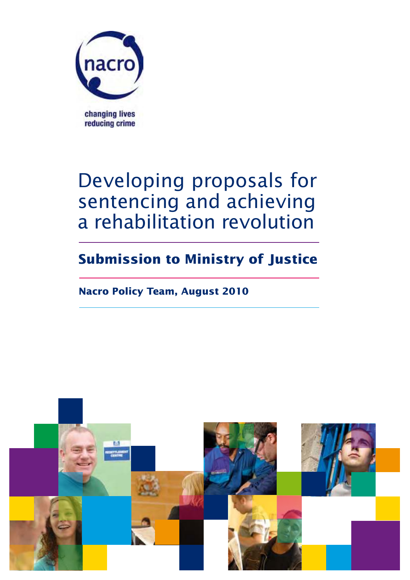

# Developing proposals for sentencing and achieving a rehabilitation revolution

## **Submission to Ministry of Justice**

## **Nacro Policy Team, August 2010**

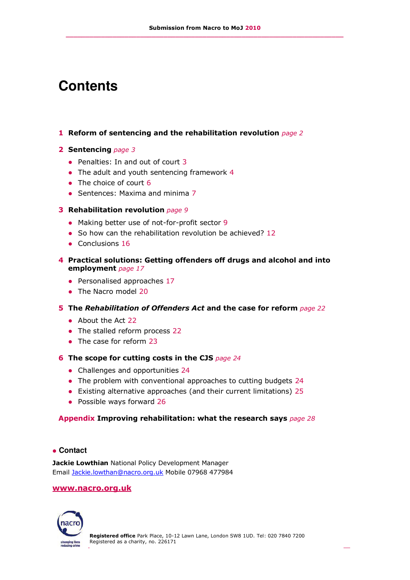## **Contents**

#### **1 Reform of sentencing and the rehabilitation revolution** *page 2*

#### **2 Sentencing** *page 3*

- Penalties: In and out of court 3
- The adult and youth sentencing framework 4
- The choice of court 6
- Sentences: Maxima and minima 7

#### **3 Rehabilitation revolution** *page 9*

- Making better use of not-for-profit sector 9
- So how can the rehabilitation revolution be achieved? 12
- Conclusions 16

#### **4 Practical solutions: Getting offenders off drugs and alcohol and into employment** *page 17*

- Personalised approaches 17
- The Nacro model 20

#### **5 The** *Rehabilitation of Offenders Act* **and the case for reform** *page 22*

- About the Act 22
- The stalled reform process 22
- The case for reform 23
- **6 The scope for cutting costs in the CJS** *page 24*
	- Challenges and opportunities 24
	- The problem with conventional approaches to cutting budgets 24
	- Existing alternative approaches (and their current limitations) 25
	- Possible ways forward 26

#### **Appendix Improving rehabilitation: what the research says** *page 28*

#### **Contact**

**Jackie Lowthian** National Policy Development Manager Email [Jackie.lowthan@nacro.org.uk](mailto:Jackie.lowthan@nacro.org.uk) Mobile 07968 477984

#### **[www.nacro.org.uk](http://www.nacro.org.uk/)**

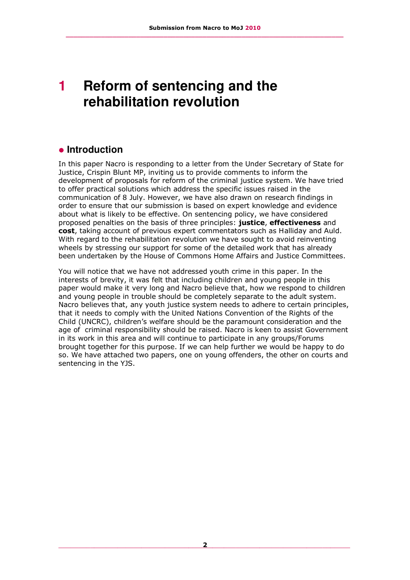## **1 Reform of sentencing and the rehabilitation revolution**

## **Introduction**

In this paper Nacro is responding to a letter from the Under Secretary of State for Justice, Crispin Blunt MP, inviting us to provide comments to inform the development of proposals for reform of the criminal justice system. We have tried to offer practical solutions which address the specific issues raised in the communication of 8 July. However, we have also drawn on research findings in order to ensure that our submission is based on expert knowledge and evidence about what is likely to be effective. On sentencing policy, we have considered proposed penalties on the basis of three principles: **justice**, **effectiveness** and **cost**, taking account of previous expert commentators such as Halliday and Auld. With regard to the rehabilitation revolution we have sought to avoid reinventing wheels by stressing our support for some of the detailed work that has already been undertaken by the House of Commons Home Affairs and Justice Committees.

You will notice that we have not addressed youth crime in this paper. In the interests of brevity, it was felt that including children and young people in this paper would make it very long and Nacro believe that, how we respond to children and young people in trouble should be completely separate to the adult system. Nacro believes that, any youth justice system needs to adhere to certain principles, that it needs to comply with the United Nations Convention of the Rights of the Child (UNCRC), children's welfare should be the paramount consideration and the age of criminal responsibility should be raised. Nacro is keen to assist Government in its work in this area and will continue to participate in any groups/Forums brought together for this purpose. If we can help further we would be happy to do so. We have attached two papers, one on young offenders, the other on courts and sentencing in the YJS.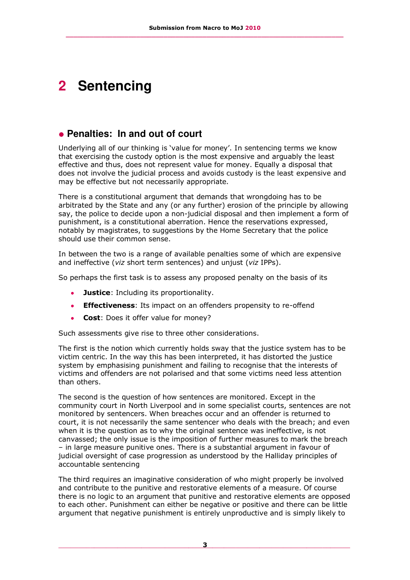## **2 Sentencing**

### **Penalties: In and out of court**

Underlying all of our thinking is 'value for money'. In sentencing terms we know that exercising the custody option is the most expensive and arguably the least effective and thus, does not represent value for money. Equally a disposal that does not involve the judicial process and avoids custody is the least expensive and may be effective but not necessarily appropriate.

There is a constitutional argument that demands that wrongdoing has to be arbitrated by the State and any (or any further) erosion of the principle by allowing say, the police to decide upon a non-judicial disposal and then implement a form of punishment, is a constitutional aberration. Hence the reservations expressed, notably by magistrates, to suggestions by the Home Secretary that the police should use their common sense.

In between the two is a range of available penalties some of which are expensive and ineffective (*viz* short term sentences) and unjust (*viz* IPPs).

So perhaps the first task is to assess any proposed penalty on the basis of its

- **Justice**: Including its proportionality.  $\bullet$
- **Effectiveness:** Its impact on an offenders propensity to re-offend
- **Cost**: Does it offer value for money?  $\bullet$

Such assessments give rise to three other considerations.

The first is the notion which currently holds sway that the justice system has to be victim centric. In the way this has been interpreted, it has distorted the justice system by emphasising punishment and failing to recognise that the interests of victims and offenders are not polarised and that some victims need less attention than others.

The second is the question of how sentences are monitored. Except in the community court in North Liverpool and in some specialist courts, sentences are not monitored by sentencers. When breaches occur and an offender is returned to court, it is not necessarily the same sentencer who deals with the breach; and even when it is the question as to why the original sentence was ineffective, is not canvassed; the only issue is the imposition of further measures to mark the breach – in large measure punitive ones. There is a substantial argument in favour of judicial oversight of case progression as understood by the Halliday principles of accountable sentencing

The third requires an imaginative consideration of who might properly be involved and contribute to the punitive and restorative elements of a measure. Of course there is no logic to an argument that punitive and restorative elements are opposed to each other. Punishment can either be negative or positive and there can be little argument that negative punishment is entirely unproductive and is simply likely to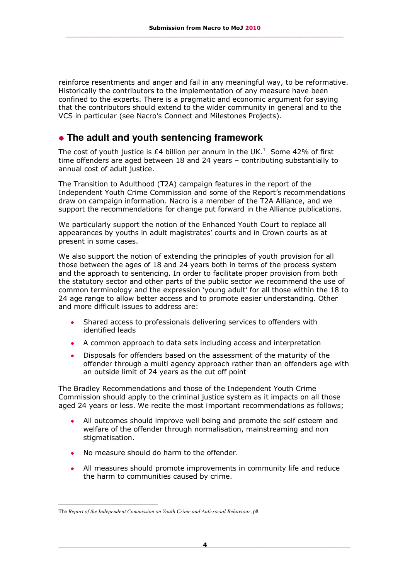reinforce resentments and anger and fail in any meaningful way, to be reformative. Historically the contributors to the implementation of any measure have been confined to the experts. There is a pragmatic and economic argument for saying that the contributors should extend to the wider community in general and to the VCS in particular (see Nacro's Connect and Milestones Projects).

## **The adult and youth sentencing framework**

The cost of youth justice is £4 billion per annum in the UK.<sup>1</sup> Some 42% of first time offenders are aged between 18 and 24 years – contributing substantially to annual cost of adult justice.

The Transition to Adulthood (T2A) campaign features in the report of the Independent Youth Crime Commission and some of the Report's recommendations draw on campaign information. Nacro is a member of the T2A Alliance, and we support the recommendations for change put forward in the Alliance publications.

We particularly support the notion of the Enhanced Youth Court to replace all appearances by youths in adult magistrates' courts and in Crown courts as at present in some cases.

We also support the notion of extending the principles of youth provision for all those between the ages of 18 and 24 years both in terms of the process system and the approach to sentencing. In order to facilitate proper provision from both the statutory sector and other parts of the public sector we recommend the use of common terminology and the expression 'young adult' for all those within the 18 to 24 age range to allow better access and to promote easier understanding. Other and more difficult issues to address are:

- Shared access to professionals delivering services to offenders with identified leads
- A common approach to data sets including access and interpretation
- Disposals for offenders based on the assessment of the maturity of the  $\bullet$ offender through a multi agency approach rather than an offenders age with an outside limit of 24 years as the cut off point

The Bradley Recommendations and those of the Independent Youth Crime Commission should apply to the criminal justice system as it impacts on all those aged 24 years or less. We recite the most important recommendations as follows;

- All outcomes should improve well being and promote the self esteem and welfare of the offender through normalisation, mainstreaming and non stigmatisation.
- No measure should do harm to the offender.
- All measures should promote improvements in community life and reduce  $\bullet$ the harm to communities caused by crime.

-

The *Report of the Independent Commission on Youth Crime and Anti-social Behaviour*, p8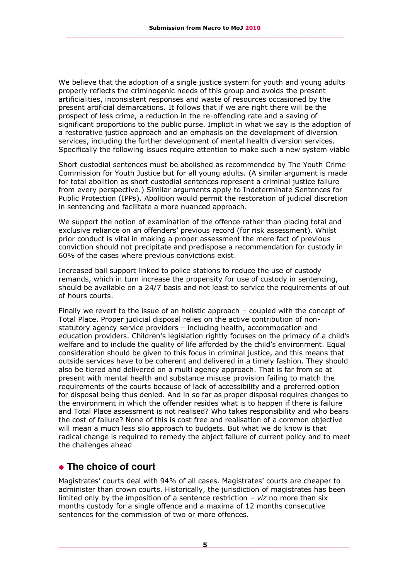We believe that the adoption of a single justice system for youth and young adults properly reflects the criminogenic needs of this group and avoids the present artificialities, inconsistent responses and waste of resources occasioned by the present artificial demarcations. It follows that if we are right there will be the prospect of less crime, a reduction in the re-offending rate and a saving of significant proportions to the public purse. Implicit in what we say is the adoption of a restorative justice approach and an emphasis on the development of diversion services, including the further development of mental health diversion services. Specifically the following issues require attention to make such a new system viable

Short custodial sentences must be abolished as recommended by The Youth Crime Commission for Youth Justice but for all young adults. (A similar argument is made for total abolition as short custodial sentences represent a criminal justice failure from every perspective.) Similar arguments apply to Indeterminate Sentences for Public Protection (IPPs). Abolition would permit the restoration of judicial discretion in sentencing and facilitate a more nuanced approach.

We support the notion of examination of the offence rather than placing total and exclusive reliance on an offenders' previous record (for risk assessment). Whilst prior conduct is vital in making a proper assessment the mere fact of previous conviction should not precipitate and predispose a recommendation for custody in 60% of the cases where previous convictions exist.

Increased bail support linked to police stations to reduce the use of custody remands, which in turn increase the propensity for use of custody in sentencing, should be available on a 24/7 basis and not least to service the requirements of out of hours courts.

Finally we revert to the issue of an holistic approach – coupled with the concept of Total Place. Proper judicial disposal relies on the active contribution of nonstatutory agency service providers – including health, accommodation and education providers. Children's legislation rightly focuses on the primacy of a child's welfare and to include the quality of life afforded by the child's environment. Equal consideration should be given to this focus in criminal justice, and this means that outside services have to be coherent and delivered in a timely fashion. They should also be tiered and delivered on a multi agency approach. That is far from so at present with mental health and substance misuse provision failing to match the requirements of the courts because of lack of accessibility and a preferred option for disposal being thus denied. And in so far as proper disposal requires changes to the environment in which the offender resides what is to happen if there is failure and Total Place assessment is not realised? Who takes responsibility and who bears the cost of failure? None of this is cost free and realisation of a common objective will mean a much less silo approach to budgets. But what we do know is that radical change is required to remedy the abject failure of current policy and to meet the challenges ahead

#### **The choice of court**

Magistrates' courts deal with 94% of all cases. Magistrates' courts are cheaper to administer than crown courts. Historically, the jurisdiction of magistrates has been limited only by the imposition of a sentence restriction – *viz* no more than six months custody for a single offence and a maxima of 12 months consecutive sentences for the commission of two or more offences.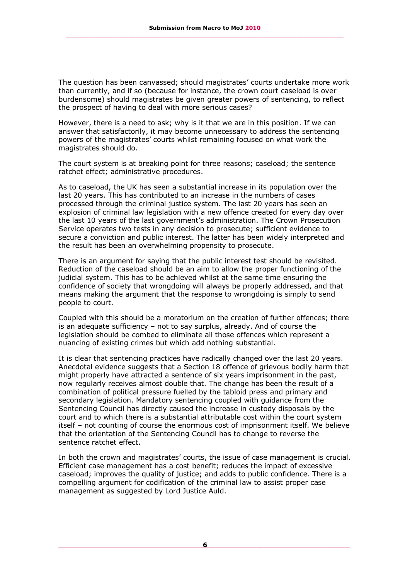The question has been canvassed; should magistrates' courts undertake more work than currently, and if so (because for instance, the crown court caseload is over burdensome) should magistrates be given greater powers of sentencing, to reflect the prospect of having to deal with more serious cases?

However, there is a need to ask; why is it that we are in this position. If we can answer that satisfactorily, it may become unnecessary to address the sentencing powers of the magistrates' courts whilst remaining focused on what work the magistrates should do.

The court system is at breaking point for three reasons; caseload; the sentence ratchet effect; administrative procedures.

As to caseload, the UK has seen a substantial increase in its population over the last 20 years. This has contributed to an increase in the numbers of cases processed through the criminal justice system. The last 20 years has seen an explosion of criminal law legislation with a new offence created for every day over the last 10 years of the last government's administration. The Crown Prosecution Service operates two tests in any decision to prosecute; sufficient evidence to secure a conviction and public interest. The latter has been widely interpreted and the result has been an overwhelming propensity to prosecute.

There is an argument for saying that the public interest test should be revisited. Reduction of the caseload should be an aim to allow the proper functioning of the judicial system. This has to be achieved whilst at the same time ensuring the confidence of society that wrongdoing will always be properly addressed, and that means making the argument that the response to wrongdoing is simply to send people to court.

Coupled with this should be a moratorium on the creation of further offences; there is an adequate sufficiency – not to say surplus, already. And of course the legislation should be combed to eliminate all those offences which represent a nuancing of existing crimes but which add nothing substantial.

It is clear that sentencing practices have radically changed over the last 20 years. Anecdotal evidence suggests that a Section 18 offence of grievous bodily harm that might properly have attracted a sentence of six years imprisonment in the past, now regularly receives almost double that. The change has been the result of a combination of political pressure fuelled by the tabloid press and primary and secondary legislation. Mandatory sentencing coupled with guidance from the Sentencing Council has directly caused the increase in custody disposals by the court and to which there is a substantial attributable cost within the court system itself – not counting of course the enormous cost of imprisonment itself. We believe that the orientation of the Sentencing Council has to change to reverse the sentence ratchet effect.

In both the crown and magistrates' courts, the issue of case management is crucial. Efficient case management has a cost benefit; reduces the impact of excessive caseload; improves the quality of justice; and adds to public confidence. There is a compelling argument for codification of the criminal law to assist proper case management as suggested by Lord Justice Auld.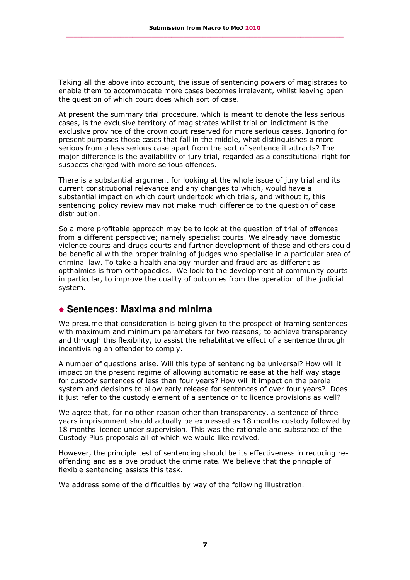Taking all the above into account, the issue of sentencing powers of magistrates to enable them to accommodate more cases becomes irrelevant, whilst leaving open the question of which court does which sort of case.

At present the summary trial procedure, which is meant to denote the less serious cases, is the exclusive territory of magistrates whilst trial on indictment is the exclusive province of the crown court reserved for more serious cases. Ignoring for present purposes those cases that fall in the middle, what distinguishes a more serious from a less serious case apart from the sort of sentence it attracts? The major difference is the availability of jury trial, regarded as a constitutional right for suspects charged with more serious offences.

There is a substantial argument for looking at the whole issue of jury trial and its current constitutional relevance and any changes to which, would have a substantial impact on which court undertook which trials, and without it, this sentencing policy review may not make much difference to the question of case distribution.

So a more profitable approach may be to look at the question of trial of offences from a different perspective; namely specialist courts. We already have domestic violence courts and drugs courts and further development of these and others could be beneficial with the proper training of judges who specialise in a particular area of criminal law. To take a health analogy murder and fraud are as different as opthalmics is from orthopaedics. We look to the development of community courts in particular, to improve the quality of outcomes from the operation of the judicial system.

#### **Sentences: Maxima and minima**

We presume that consideration is being given to the prospect of framing sentences with maximum and minimum parameters for two reasons; to achieve transparency and through this flexibility, to assist the rehabilitative effect of a sentence through incentivising an offender to comply.

A number of questions arise. Will this type of sentencing be universal? How will it impact on the present regime of allowing automatic release at the half way stage for custody sentences of less than four years? How will it impact on the parole system and decisions to allow early release for sentences of over four years? Does it just refer to the custody element of a sentence or to licence provisions as well?

We agree that, for no other reason other than transparency, a sentence of three years imprisonment should actually be expressed as 18 months custody followed by 18 months licence under supervision. This was the rationale and substance of the Custody Plus proposals all of which we would like revived.

However, the principle test of sentencing should be its effectiveness in reducing reoffending and as a bye product the crime rate. We believe that the principle of flexible sentencing assists this task.

We address some of the difficulties by way of the following illustration.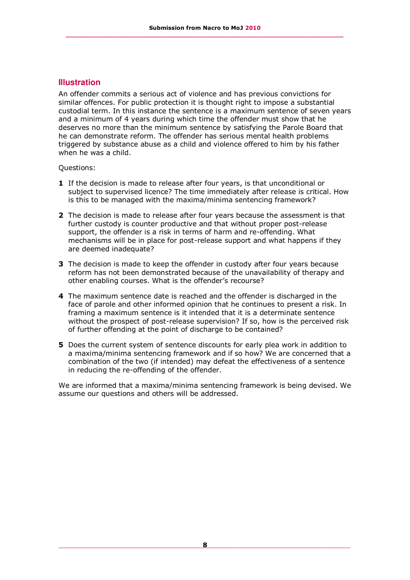#### **Illustration**

An offender commits a serious act of violence and has previous convictions for similar offences. For public protection it is thought right to impose a substantial custodial term. In this instance the sentence is a maximum sentence of seven years and a minimum of 4 years during which time the offender must show that he deserves no more than the minimum sentence by satisfying the Parole Board that he can demonstrate reform. The offender has serious mental health problems triggered by substance abuse as a child and violence offered to him by his father when he was a child.

Questions:

- **1** If the decision is made to release after four years, is that unconditional or subject to supervised licence? The time immediately after release is critical. How is this to be managed with the maxima/minima sentencing framework?
- **2** The decision is made to release after four years because the assessment is that further custody is counter productive and that without proper post-release support, the offender is a risk in terms of harm and re-offending. What mechanisms will be in place for post-release support and what happens if they are deemed inadequate?
- **3** The decision is made to keep the offender in custody after four years because reform has not been demonstrated because of the unavailability of therapy and other enabling courses. What is the offender's recourse?
- **4** The maximum sentence date is reached and the offender is discharged in the face of parole and other informed opinion that he continues to present a risk. In framing a maximum sentence is it intended that it is a determinate sentence without the prospect of post-release supervision? If so, how is the perceived risk of further offending at the point of discharge to be contained?
- **5** Does the current system of sentence discounts for early plea work in addition to a maxima/minima sentencing framework and if so how? We are concerned that a combination of the two (if intended) may defeat the effectiveness of a sentence in reducing the re-offending of the offender.

We are informed that a maxima/minima sentencing framework is being devised. We assume our questions and others will be addressed.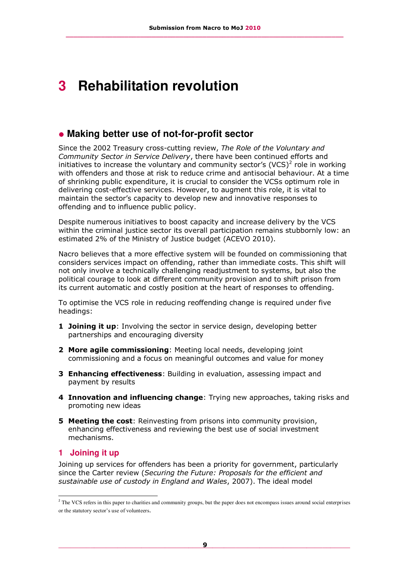## **3 Rehabilitation revolution**

### **Making better use of not-for-profit sector**

Since the 2002 Treasury cross-cutting review, *The Role of the Voluntary and Community Sector in Service Delivery*, there have been continued efforts and initiatives to increase the voluntary and community sector's  $(VCS)^2$  role in working with offenders and those at risk to reduce crime and antisocial behaviour. At a time of shrinking public expenditure, it is crucial to consider the VCSs optimum role in delivering cost-effective services. However, to augment this role, it is vital to maintain the sector's capacity to develop new and innovative responses to offending and to influence public policy.

Despite numerous initiatives to boost capacity and increase delivery by the VCS within the criminal justice sector its overall participation remains stubbornly low: an estimated 2% of the Ministry of Justice budget (ACEVO 2010).

Nacro believes that a more effective system will be founded on commissioning that considers services impact on offending, rather than immediate costs. This shift will not only involve a technically challenging readjustment to systems, but also the political courage to look at different community provision and to shift prison from its current automatic and costly position at the heart of responses to offending.

To optimise the VCS role in reducing reoffending change is required under five headings:

- **1 Joining it up**: Involving the sector in service design, developing better partnerships and encouraging diversity
- **2 More agile commissioning**: Meeting local needs, developing joint commissioning and a focus on meaningful outcomes and value for money
- **3 Enhancing effectiveness**: Building in evaluation, assessing impact and payment by results
- **4 Innovation and influencing change**: Trying new approaches, taking risks and promoting new ideas
- **5 Meeting the cost**: Reinvesting from prisons into community provision, enhancing effectiveness and reviewing the best use of social investment mechanisms.

#### **1 Joining it up**

-

Joining up services for offenders has been a priority for government, particularly since the Carter review (*Securing the Future: Proposals for the efficient and sustainable use of custody in England and Wales*, 2007). The ideal model

 $<sup>2</sup>$  The VCS refers in this paper to charities and community groups, but the paper does not encompass issues around social enterprises</sup> or the statutory sector's use of volunteers.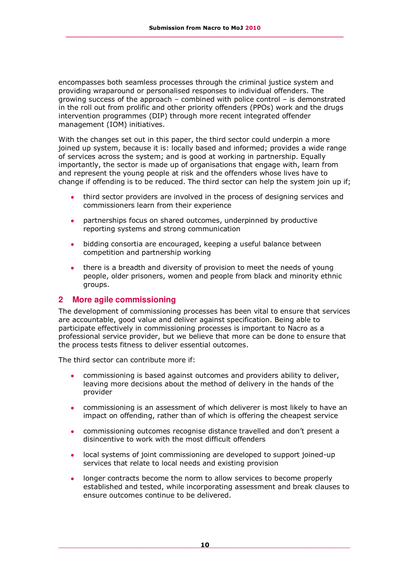encompasses both seamless processes through the criminal justice system and providing wraparound or personalised responses to individual offenders. The growing success of the approach – combined with police control – is demonstrated in the roll out from prolific and other priority offenders (PPOs) work and the drugs intervention programmes (DIP) through more recent integrated offender management (IOM) initiatives.

With the changes set out in this paper, the third sector could underpin a more joined up system, because it is: locally based and informed; provides a wide range of services across the system; and is good at working in partnership. Equally importantly, the sector is made up of organisations that engage with, learn from and represent the young people at risk and the offenders whose lives have to change if offending is to be reduced. The third sector can help the system join up if;

- third sector providers are involved in the process of designing services and commissioners learn from their experience
- partnerships focus on shared outcomes, underpinned by productive  $\bullet$ reporting systems and strong communication
- bidding consortia are encouraged, keeping a useful balance between competition and partnership working
- there is a breadth and diversity of provision to meet the needs of young people, older prisoners, women and people from black and minority ethnic groups.

#### **2 More agile commissioning**

The development of commissioning processes has been vital to ensure that services are accountable, good value and deliver against specification. Being able to participate effectively in commissioning processes is important to Nacro as a professional service provider, but we believe that more can be done to ensure that the process tests fitness to deliver essential outcomes.

The third sector can contribute more if:

- commissioning is based against outcomes and providers ability to deliver, leaving more decisions about the method of delivery in the hands of the provider
- commissioning is an assessment of which deliverer is most likely to have an impact on offending, rather than of which is offering the cheapest service
- commissioning outcomes recognise distance travelled and don't present a disincentive to work with the most difficult offenders
- local systems of joint commissioning are developed to support joined-up services that relate to local needs and existing provision
- longer contracts become the norm to allow services to become properly established and tested, while incorporating assessment and break clauses to ensure outcomes continue to be delivered.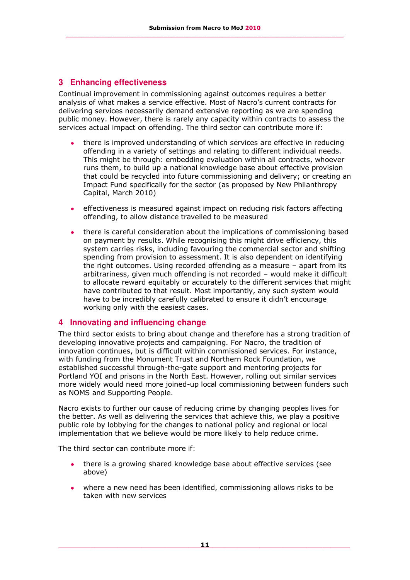#### **3 Enhancing effectiveness**

Continual improvement in commissioning against outcomes requires a better analysis of what makes a service effective. Most of Nacro's current contracts for delivering services necessarily demand extensive reporting as we are spending public money. However, there is rarely any capacity within contracts to assess the services actual impact on offending. The third sector can contribute more if:

- there is improved understanding of which services are effective in reducing offending in a variety of settings and relating to different individual needs. This might be through: embedding evaluation within all contracts, whoever runs them, to build up a national knowledge base about effective provision that could be recycled into future commissioning and delivery; or creating an Impact Fund specifically for the sector (as proposed by New Philanthropy Capital, March 2010)
- effectiveness is measured against impact on reducing risk factors affecting offending, to allow distance travelled to be measured
- there is careful consideration about the implications of commissioning based on payment by results. While recognising this might drive efficiency, this system carries risks, including favouring the commercial sector and shifting spending from provision to assessment. It is also dependent on identifying the right outcomes. Using recorded offending as a measure – apart from its arbitrariness, given much offending is not recorded – would make it difficult to allocate reward equitably or accurately to the different services that might have contributed to that result. Most importantly, any such system would have to be incredibly carefully calibrated to ensure it didn't encourage working only with the easiest cases.

#### **4 Innovating and influencing change**

The third sector exists to bring about change and therefore has a strong tradition of developing innovative projects and campaigning. For Nacro, the tradition of innovation continues, but is difficult within commissioned services. For instance, with funding from the Monument Trust and Northern Rock Foundation, we established successful through-the-gate support and mentoring projects for Portland YOI and prisons in the North East. However, rolling out similar services more widely would need more joined-up local commissioning between funders such as NOMS and Supporting People.

Nacro exists to further our cause of reducing crime by changing peoples lives for the better. As well as delivering the services that achieve this, we play a positive public role by lobbying for the changes to national policy and regional or local implementation that we believe would be more likely to help reduce crime.

The third sector can contribute more if:

- there is a growing shared knowledge base about effective services (see above)
- where a new need has been identified, commissioning allows risks to be taken with new services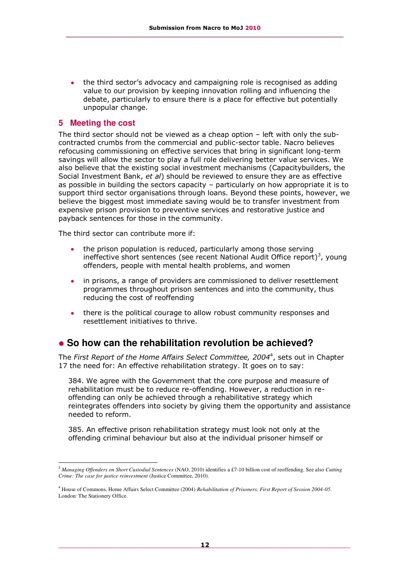the third sector's advocacy and campaigning role is recognised as adding value to our provision by keeping innovation rolling and influencing the debate, particularly to ensure there is a place for effective but potentially unpopular change.

#### **5 Meeting the cost**

The third sector should not be viewed as a cheap option – left with only the subcontracted crumbs from the commercial and public-sector table. Nacro believes refocusing commissioning on effective services that bring in significant long-term savings will allow the sector to play a full role delivering better value services. We also believe that the existing social investment mechanisms (Capacitybuilders, the Social Investment Bank, *et al*) should be reviewed to ensure they are as effective as possible in building the sectors capacity – particularly on how appropriate it is to support third sector organisations through loans. Beyond these points, however, we believe the biggest most immediate saving would be to transfer investment from expensive prison provision to preventive services and restorative justice and payback sentences for those in the community.

The third sector can contribute more if:

- the prison population is reduced, particularly among those serving ineffective short sentences (see recent National Audit Office report)<sup>3</sup>, young offenders, people with mental health problems, and women
- in prisons, a range of providers are commissioned to deliver resettlement programmes throughout prison sentences and into the community, thus reducing the cost of reoffending
- there is the political courage to allow robust community responses and resettlement initiatives to thrive.

### **So how can the rehabilitation revolution be achieved?**

The *First Report of the Home Affairs Select Committee, 2004*<sup>4</sup> , sets out in Chapter 17 the need for: An effective rehabilitation strategy. It goes on to say:

384. We agree with the Government that the core purpose and measure of rehabilitation must be to reduce re-offending. However, a reduction in reoffending can only be achieved through a rehabilitative strategy which reintegrates offenders into society by giving them the opportunity and assistance needed to reform.

385. An effective prison rehabilitation strategy must look not only at the offending criminal behaviour but also at the individual prisoner himself or

<sup>-</sup><sup>3</sup> *Managing Offenders on Short Custodial Sentences* (NAO, 2010) identifies a £7-10 billion cost of reoffending. See also *Cutting Crime: The case for justice reinvestment* (Justice Committee, 2010).

<sup>4</sup> House of Commons, Home Affairs Select Committee (2004) *Rehabilitation of Prisoners, First Report of Session 2004-05.*  London: The Stationery Office.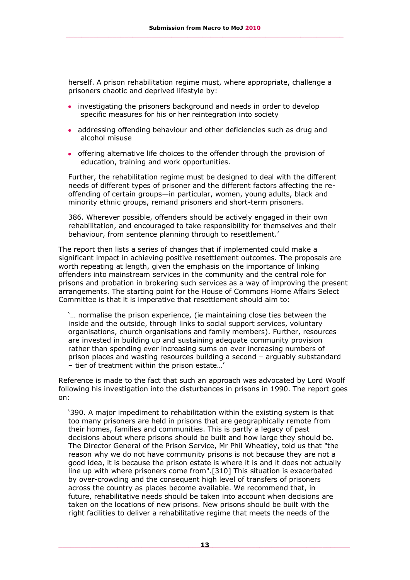herself. A prison rehabilitation regime must, where appropriate, challenge a prisoners chaotic and deprived lifestyle by:

- investigating the prisoners background and needs in order to develop specific measures for his or her reintegration into society
- addressing offending behaviour and other deficiencies such as drug and alcohol misuse
- offering alternative life choices to the offender through the provision of education, training and work opportunities.

Further, the rehabilitation regime must be designed to deal with the different needs of different types of prisoner and the different factors affecting the reoffending of certain groups—in particular, women, young adults, black and minority ethnic groups, remand prisoners and short-term prisoners.

386. Wherever possible, offenders should be actively engaged in their own rehabilitation, and encouraged to take responsibility for themselves and their behaviour, from sentence planning through to resettlement.'

The report then lists a series of changes that if implemented could make a significant impact in achieving positive resettlement outcomes. The proposals are worth repeating at length, given the emphasis on the importance of linking offenders into mainstream services in the community and the central role for prisons and probation in brokering such services as a way of improving the present arrangements. The starting point for the House of Commons Home Affairs Select Committee is that it is imperative that resettlement should aim to:

'… normalise the prison experience, (ie maintaining close ties between the inside and the outside, through links to social support services, voluntary organisations, church organisations and family members). Further, resources are invested in building up and sustaining adequate community provision rather than spending ever increasing sums on ever increasing numbers of prison places and wasting resources building a second – arguably substandard – tier of treatment within the prison estate…'

Reference is made to the fact that such an approach was advocated by Lord Woolf following his investigation into the disturbances in prisons in 1990. The report goes on:

'390. A major impediment to rehabilitation within the existing system is that too many prisoners are held in prisons that are geographically remote from their homes, families and communities. This is partly a legacy of past decisions about where prisons should be built and how large they should be. The Director General of the Prison Service, Mr Phil Wheatley, told us that "the reason why we do not have community prisons is not because they are not a good idea, it is because the prison estate is where it is and it does not actually line up with where prisoners come from".[\[310\]](http://www.publications.parliament.uk/pa/cm200405/cmselect/cmhaff/193/19320.htm#note310) This situation is exacerbated by over-crowding and the consequent high level of transfers of prisoners across the country as places become available. We recommend that, in future, rehabilitative needs should be taken into account when decisions are taken on the locations of new prisons. New prisons should be built with the right facilities to deliver a rehabilitative regime that meets the needs of the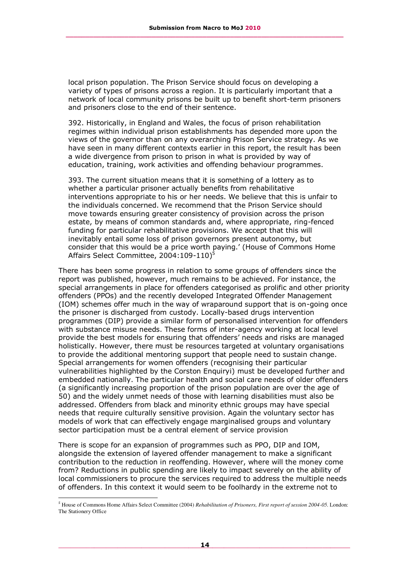local prison population. The Prison Service should focus on developing a variety of types of prisons across a region. It is particularly important that a network of local community prisons be built up to benefit short-term prisoners and prisoners close to the end of their sentence.

392. Historically, in England and Wales, the focus of prison rehabilitation regimes within individual prison establishments has depended more upon the views of the governor than on any overarching Prison Service strategy. As we have seen in many different contexts earlier in this report, the result has been a wide divergence from prison to prison in what is provided by way of education, training, work activities and offending behaviour programmes.

393. The current situation means that it is something of a lottery as to whether a particular prisoner actually benefits from rehabilitative interventions appropriate to his or her needs. We believe that this is unfair to the individuals concerned. We recommend that the Prison Service should move towards ensuring greater consistency of provision across the prison estate, by means of common standards and, where appropriate, ring-fenced funding for particular rehabilitative provisions. We accept that this will inevitably entail some loss of prison governors present autonomy, but consider that this would be a price worth paying.' (House of Commons Home Affairs Select Committee, 2004:109-110)<sup>5</sup>

There has been some progress in relation to some groups of offenders since the report was published, however, much remains to be achieved. For instance, the special arrangements in place for offenders categorised as prolific and other priority offenders (PPOs) and the recently developed Integrated Offender Management (IOM) schemes offer much in the way of wraparound support that is on-going once the prisoner is discharged from custody. Locally-based drugs intervention programmes (DIP) provide a similar form of personalised intervention for offenders with substance misuse needs. These forms of inter-agency working at local level provide the best models for ensuring that offenders' needs and risks are managed holistically. However, there must be resources targeted at voluntary organisations to provide the additional mentoring support that people need to sustain change. Special arrangements for women offenders (recognising their particular vulnerabilities highlighted by the Corston Enquiryi) must be developed further and embedded nationally. The particular health and social care needs of older offenders (a significantly increasing proportion of the prison population are over the age of 50) and the widely unmet needs of those with learning disabilities must also be addressed. Offenders from black and minority ethnic groups may have special needs that require culturally sensitive provision. Again the voluntary sector has models of work that can effectively engage marginalised groups and voluntary sector participation must be a central element of service provision

There is scope for an expansion of programmes such as PPO, DIP and IOM, alongside the extension of layered offender management to make a significant contribution to the reduction in reoffending. However, where will the money come from? Reductions in public spending are likely to impact severely on the ability of local commissioners to procure the services required to address the multiple needs of offenders. In this context it would seem to be foolhardy in the extreme not to

i,

*<sup>5</sup>* House of Commons Home Affairs Select Committee (2004) *Rehabilitation of Prisoners, First report of session 2004-05.* London: The Stationery Office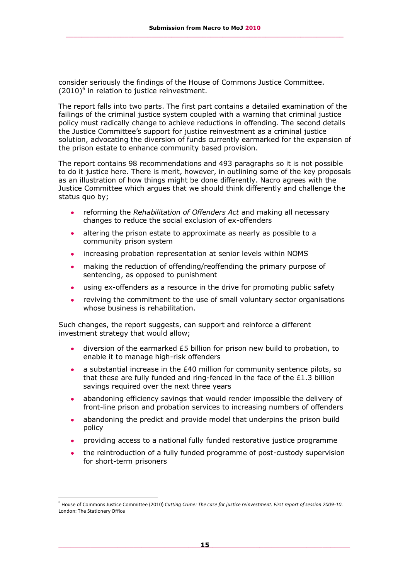consider seriously the findings of the House of Commons Justice Committee.  $(2010)^6$  in relation to justice reinvestment.

The report falls into two parts. The first part contains a detailed examination of the failings of the criminal justice system coupled with a warning that criminal justice policy must radically change to achieve reductions in offending. The second details the Justice Committee's support for justice reinvestment as a criminal justice solution, advocating the diversion of funds currently earmarked for the expansion of the prison estate to enhance community based provision.

The report contains 98 recommendations and 493 paragraphs so it is not possible to do it justice here. There is merit, however, in outlining some of the key proposals as an illustration of how things might be done differently. Nacro agrees with the Justice Committee which argues that we should think differently and challenge the status quo by;

- reforming the *Rehabilitation of Offenders Act* and making all necessary  $\bullet$ changes to reduce the social exclusion of ex-offenders
- altering the prison estate to approximate as nearly as possible to a  $\bullet$ community prison system
- increasing probation representation at senior levels within NOMS
- making the reduction of offending/reoffending the primary purpose of sentencing, as opposed to punishment
- using ex-offenders as a resource in the drive for promoting public safety  $\bullet$
- reviving the commitment to the use of small voluntary sector organisations whose business is rehabilitation.

Such changes, the report suggests, can support and reinforce a different investment strategy that would allow;

- diversion of the earmarked £5 billion for prison new build to probation, to enable it to manage high-risk offenders
- a substantial increase in the £40 million for community sentence pilots, so that these are fully funded and ring-fenced in the face of the £1.3 billion savings required over the next three years
- abandoning efficiency savings that would render impossible the delivery of front-line prison and probation services to increasing numbers of offenders
- abandoning the predict and provide model that underpins the prison build  $\bullet$ policy
- providing access to a national fully funded restorative justice programme
- the reintroduction of a fully funded programme of post-custody supervision for short-term prisoners

-

<sup>6</sup> House of Commons Justice Committee (2010) *Cutting Crime: The case for justice reinvestment. First report of session 2009-10*. London: The Stationery Office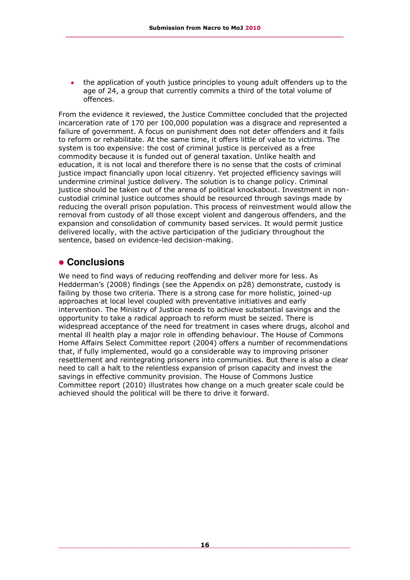the application of youth justice principles to young adult offenders up to the age of 24, a group that currently commits a third of the total volume of offences.

From the evidence it reviewed, the Justice Committee concluded that the projected incarceration rate of 170 per 100,000 population was a disgrace and represented a failure of government. A focus on punishment does not deter offenders and it fails to reform or rehabilitate. At the same time, it offers little of value to victims. The system is too expensive: the cost of criminal justice is perceived as a free commodity because it is funded out of general taxation. Unlike health and education, it is not local and therefore there is no sense that the costs of criminal justice impact financially upon local citizenry. Yet projected efficiency savings will undermine criminal justice delivery. The solution is to change policy. Criminal justice should be taken out of the arena of political knockabout. Investment in noncustodial criminal justice outcomes should be resourced through savings made by reducing the overall prison population. This process of reinvestment would allow the removal from custody of all those except violent and dangerous offenders, and the expansion and consolidation of community based services. It would permit justice delivered locally, with the active participation of the judiciary throughout the sentence, based on evidence-led decision-making.

### **Conclusions**

We need to find ways of reducing reoffending and deliver more for less. As Hedderman's (2008) findings (see the Appendix on p28) demonstrate, custody is failing by those two criteria. There is a strong case for more holistic, joined-up approaches at local level coupled with preventative initiatives and early intervention. The Ministry of Justice needs to achieve substantial savings and the opportunity to take a radical approach to reform must be seized. There is widespread acceptance of the need for treatment in cases where drugs, alcohol and mental ill health play a major role in offending behaviour. The House of Commons Home Affairs Select Committee report (2004) offers a number of recommendations that, if fully implemented, would go a considerable way to improving prisoner resettlement and reintegrating prisoners into communities. But there is also a clear need to call a halt to the relentless expansion of prison capacity and invest the savings in effective community provision. The House of Commons Justice Committee report (2010) illustrates how change on a much greater scale could be achieved should the political will be there to drive it forward.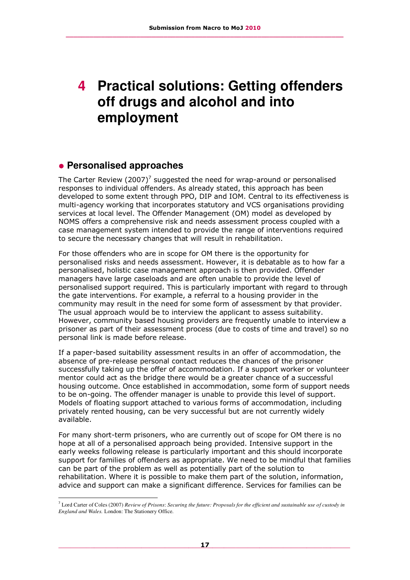## **4 Practical solutions: Getting offenders off drugs and alcohol and into employment**

## **Personalised approaches**

i,

The Carter Review  $(2007)^7$  suggested the need for wrap-around or personalised responses to individual offenders. As already stated, this approach has been developed to some extent through PPO, DIP and IOM. Central to its effectiveness is multi-agency working that incorporates statutory and VCS organisations providing services at local level. The Offender Management (OM) model as developed by NOMS offers a comprehensive risk and needs assessment process coupled with a case management system intended to provide the range of interventions required to secure the necessary changes that will result in rehabilitation.

For those offenders who are in scope for OM there is the opportunity for personalised risks and needs assessment. However, it is debatable as to how far a personalised, holistic case management approach is then provided. Offender managers have large caseloads and are often unable to provide the level of personalised support required. This is particularly important with regard to through the gate interventions. For example, a referral to a housing provider in the community may result in the need for some form of assessment by that provider. The usual approach would be to interview the applicant to assess suitability. However, community based housing providers are frequently unable to interview a prisoner as part of their assessment process (due to costs of time and travel) so no personal link is made before release.

If a paper-based suitability assessment results in an offer of accommodation, the absence of pre-release personal contact reduces the chances of the prisoner successfully taking up the offer of accommodation. If a support worker or volunteer mentor could act as the bridge there would be a greater chance of a successful housing outcome. Once established in accommodation, some form of support needs to be on-going. The offender manager is unable to provide this level of support. Models of floating support attached to various forms of accommodation, including privately rented housing, can be very successful but are not currently widely available.

For many short-term prisoners, who are currently out of scope for OM there is no hope at all of a personalised approach being provided. Intensive support in the early weeks following release is particularly important and this should incorporate support for families of offenders as appropriate. We need to be mindful that families can be part of the problem as well as potentially part of the solution to rehabilitation. Where it is possible to make them part of the solution, information, advice and support can make a significant difference. Services for families can be

<sup>7</sup> Lord Carter of Coles (2007) *Review of Prisons*: *Securing the future: Proposals for the efficient and sustainable use of custody in England and Wales.* London: The Stationery Office.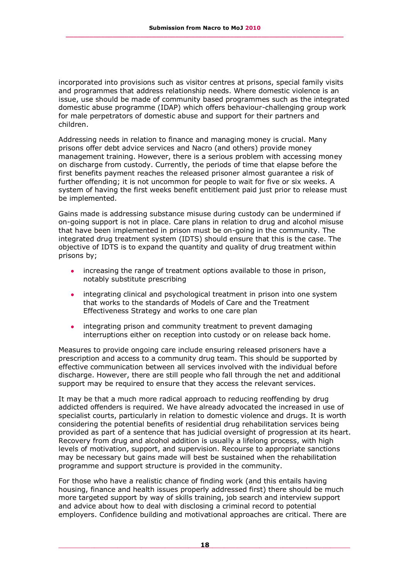incorporated into provisions such as visitor centres at prisons, special family visits and programmes that address relationship needs. Where domestic violence is an issue, use should be made of community based programmes such as the integrated domestic abuse programme (IDAP) which offers behaviour-challenging group work for male perpetrators of domestic abuse and support for their partners and children.

Addressing needs in relation to finance and managing money is crucial. Many prisons offer debt advice services and Nacro (and others) provide money management training. However, there is a serious problem with accessing money on discharge from custody. Currently, the periods of time that elapse before the first benefits payment reaches the released prisoner almost guarantee a risk of further offending; it is not uncommon for people to wait for five or six weeks. A system of having the first weeks benefit entitlement paid just prior to release must be implemented.

Gains made is addressing substance misuse during custody can be undermined if on-going support is not in place. Care plans in relation to drug and alcohol misuse that have been implemented in prison must be on-going in the community. The integrated drug treatment system (IDTS) should ensure that this is the case. The objective of IDTS is to expand the quantity and quality of drug treatment within prisons by;

- increasing the range of treatment options available to those in prison, notably substitute prescribing
- integrating clinical and psychological treatment in prison into one system  $\bullet$ that works to the standards of Models of Care and the Treatment Effectiveness Strategy and works to one care plan
- $\bullet$ integrating prison and community treatment to prevent damaging interruptions either on reception into custody or on release back home.

Measures to provide ongoing care include ensuring released prisoners have a prescription and access to a community drug team. This should be supported by effective communication between all services involved with the individual before discharge. However, there are still people who fall through the net and additional support may be required to ensure that they access the relevant services.

It may be that a much more radical approach to reducing reoffending by drug addicted offenders is required. We have already advocated the increased in use of specialist courts, particularly in relation to domestic violence and drugs. It is worth considering the potential benefits of residential drug rehabilitation services being provided as part of a sentence that has judicial oversight of progression at its heart. Recovery from drug and alcohol addition is usually a lifelong process, with high levels of motivation, support, and supervision. Recourse to appropriate sanctions may be necessary but gains made will best be sustained when the rehabilitation programme and support structure is provided in the community.

For those who have a realistic chance of finding work (and this entails having housing, finance and health issues properly addressed first) there should be much more targeted support by way of skills training, job search and interview support and advice about how to deal with disclosing a criminal record to potential employers. Confidence building and motivational approaches are critical. There are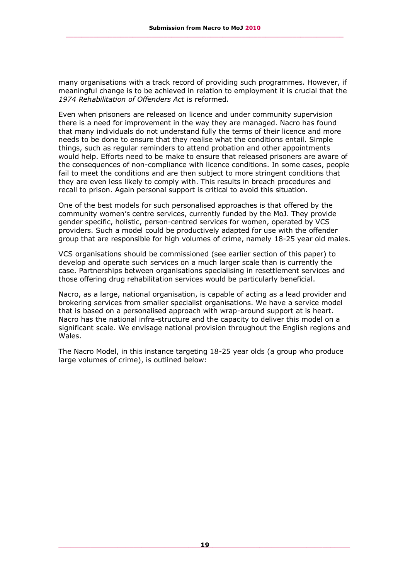many organisations with a track record of providing such programmes. However, if meaningful change is to be achieved in relation to employment it is crucial that the *1974 Rehabilitation of Offenders Act* is reformed.

Even when prisoners are released on licence and under community supervision there is a need for improvement in the way they are managed. Nacro has found that many individuals do not understand fully the terms of their licence and more needs to be done to ensure that they realise what the conditions entail. Simple things, such as regular reminders to attend probation and other appointments would help. Efforts need to be make to ensure that released prisoners are aware of the consequences of non-compliance with licence conditions. In some cases, people fail to meet the conditions and are then subject to more stringent conditions that they are even less likely to comply with. This results in breach procedures and recall to prison. Again personal support is critical to avoid this situation.

One of the best models for such personalised approaches is that offered by the community women's centre services, currently funded by the MoJ. They provide gender specific, holistic, person-centred services for women, operated by VCS providers. Such a model could be productively adapted for use with the offender group that are responsible for high volumes of crime, namely 18-25 year old males.

VCS organisations should be commissioned (see earlier section of this paper) to develop and operate such services on a much larger scale than is currently the case. Partnerships between organisations specialising in resettlement services and those offering drug rehabilitation services would be particularly beneficial.

Nacro, as a large, national organisation, is capable of acting as a lead provider and brokering services from smaller specialist organisations. We have a service model that is based on a personalised approach with wrap-around support at is heart. Nacro has the national infra-structure and the capacity to deliver this model on a significant scale. We envisage national provision throughout the English regions and Wales.

The Nacro Model, in this instance targeting 18-25 year olds (a group who produce large volumes of crime), is outlined below: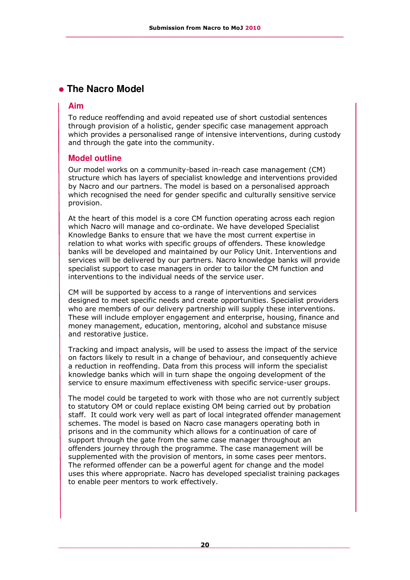## **The Nacro Model**

#### **Aim**

To reduce reoffending and avoid repeated use of short custodial sentences through provision of a holistic, gender specific case management approach which provides a personalised range of intensive interventions, during custody and through the gate into the community.

#### **Model outline**

Our model works on a community-based in-reach case management (CM) structure which has layers of specialist knowledge and interventions provided by Nacro and our partners. The model is based on a personalised approach which recognised the need for gender specific and culturally sensitive service provision.

At the heart of this model is a core CM function operating across each region which Nacro will manage and co-ordinate. We have developed Specialist Knowledge Banks to ensure that we have the most current expertise in relation to what works with specific groups of offenders. These knowledge banks will be developed and maintained by our Policy Unit. Interventions and services will be delivered by our partners. Nacro knowledge banks will provide specialist support to case managers in order to tailor the CM function and interventions to the individual needs of the service user.

CM will be supported by access to a range of interventions and services designed to meet specific needs and create opportunities. Specialist providers who are members of our delivery partnership will supply these interventions. These will include employer engagement and enterprise, housing, finance and money management, education, mentoring, alcohol and substance misuse and restorative justice.

Tracking and impact analysis, will be used to assess the impact of the service on factors likely to result in a change of behaviour, and consequently achieve a reduction in reoffending. Data from this process will inform the specialist knowledge banks which will in turn shape the ongoing development of the service to ensure maximum effectiveness with specific service-user groups.

The model could be targeted to work with those who are not currently subject to statutory OM or could replace existing OM being carried out by probation staff. It could work very well as part of local integrated offender management schemes. The model is based on Nacro case managers operating both in prisons and in the community which allows for a continuation of care of support through the gate from the same case manager throughout an offenders journey through the programme. The case management will be supplemented with the provision of mentors, in some cases peer mentors. The reformed offender can be a powerful agent for change and the model uses this where appropriate. Nacro has developed specialist training packages to enable peer mentors to work effectively.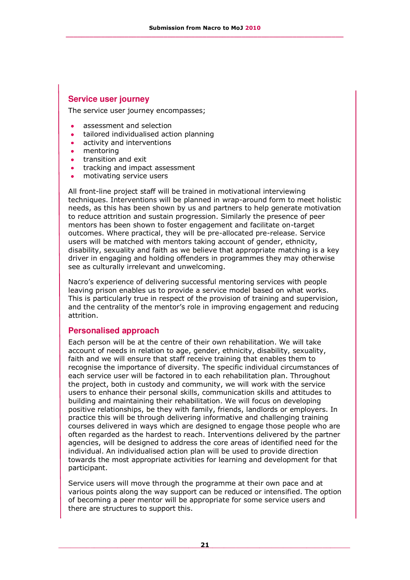#### **Service user journey**

The service user journey encompasses;

- assessment and selection
- tailored individualised action planning  $\bullet$
- $\bullet$ activity and interventions
- mentoring  $\bullet$
- transition and exit  $\bullet$
- tracking and impact assessment
- motivating service users  $\bullet$

All front-line project staff will be trained in motivational interviewing techniques. Interventions will be planned in wrap-around form to meet holistic needs, as this has been shown by us and partners to help generate motivation to reduce attrition and sustain progression. Similarly the presence of peer mentors has been shown to foster engagement and facilitate on-target outcomes. Where practical, they will be pre-allocated pre-release. Service users will be matched with mentors taking account of gender, ethnicity, disability, sexuality and faith as we believe that appropriate matching is a key driver in engaging and holding offenders in programmes they may otherwise see as culturally irrelevant and unwelcoming.

Nacro's experience of delivering successful mentoring services with people leaving prison enables us to provide a service model based on what works. This is particularly true in respect of the provision of training and supervision, and the centrality of the mentor's role in improving engagement and reducing attrition.

#### **Personalised approach**

Each person will be at the centre of their own rehabilitation. We will take account of needs in relation to age, gender, ethnicity, disability, sexuality, faith and we will ensure that staff receive training that enables them to recognise the importance of diversity. The specific individual circumstances of each service user will be factored in to each rehabilitation plan. Throughout the project, both in custody and community, we will work with the service users to enhance their personal skills, communication skills and attitudes to building and maintaining their rehabilitation. We will focus on developing positive relationships, be they with family, friends, landlords or employers. In practice this will be through delivering informative and challenging training courses delivered in ways which are designed to engage those people who are often regarded as the hardest to reach. Interventions delivered by the partner agencies, will be designed to address the core areas of identified need for the individual. An individualised action plan will be used to provide direction towards the most appropriate activities for learning and development for that participant.

Service users will move through the programme at their own pace and at various points along the way support can be reduced or intensified. The option of becoming a peer mentor will be appropriate for some service users and there are structures to support this.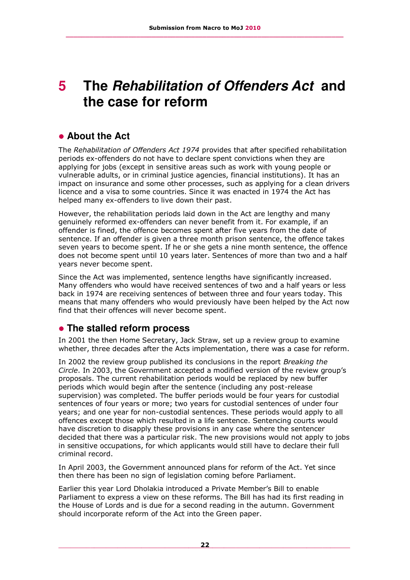## **5 The** *Rehabilitation of Offenders Act* **and the case for reform**

## **About the Act**

The *Rehabilitation of Offenders Act 1974* provides that after specified rehabilitation periods ex-offenders do not have to declare spent convictions when they are applying for jobs (except in sensitive areas such as work with young people or vulnerable adults, or in criminal justice agencies, financial institutions). It has an impact on insurance and some other processes, such as applying for a clean drivers licence and a visa to some countries. Since it was enacted in 1974 the Act has helped many ex-offenders to live down their past.

However, the rehabilitation periods laid down in the Act are lengthy and many genuinely reformed ex-offenders can never benefit from it. For example, if an offender is fined, the offence becomes spent after five years from the date of sentence. If an offender is given a three month prison sentence, the offence takes seven years to become spent. If he or she gets a nine month sentence, the offence does not become spent until 10 years later. Sentences of more than two and a half years never become spent.

Since the Act was implemented, sentence lengths have significantly increased. Many offenders who would have received sentences of two and a half years or less back in 1974 are receiving sentences of between three and four years today. This means that many offenders who would previously have been helped by the Act now find that their offences will never become spent.

## **The stalled reform process**

In 2001 the then Home Secretary, Jack Straw, set up a review group to examine whether, three decades after the Acts implementation, there was a case for reform.

In 2002 the review group published its conclusions in the report *Breaking the Circle*. In 2003, the Government accepted a modified version of the review group's proposals. The current rehabilitation periods would be replaced by new buffer periods which would begin after the sentence (including any post-release supervision) was completed. The buffer periods would be four years for custodial sentences of four years or more; two years for custodial sentences of under four years; and one year for non-custodial sentences. These periods would apply to all offences except those which resulted in a life sentence. Sentencing courts would have discretion to disapply these provisions in any case where the sentencer decided that there was a particular risk. The new provisions would not apply to jobs in sensitive occupations, for which applicants would still have to declare their full criminal record.

In April 2003, the Government announced plans for reform of the Act. Yet since then there has been no sign of legislation coming before Parliament.

Earlier this year Lord Dholakia introduced a Private Member's Bill to enable Parliament to express a view on these reforms. The Bill has had its first reading in the House of Lords and is due for a second reading in the autumn. Government should incorporate reform of the Act into the Green paper.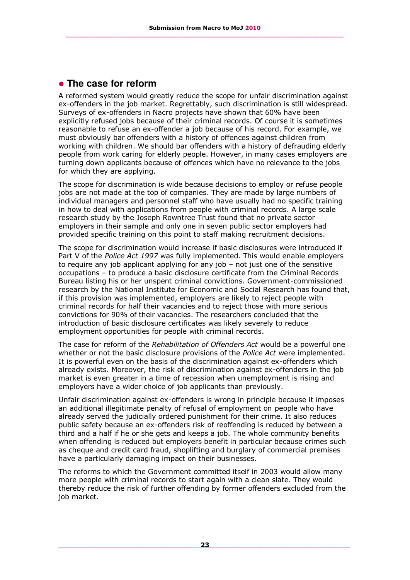## **The case for reform**

A reformed system would greatly reduce the scope for unfair discrimination against ex-offenders in the job market. Regrettably, such discrimination is still widespread. Surveys of ex-offenders in Nacro projects have shown that 60% have been explicitly refused jobs because of their criminal records. Of course it is sometimes reasonable to refuse an ex-offender a job because of his record. For example, we must obviously bar offenders with a history of offences against children from working with children. We should bar offenders with a history of defrauding elderly people from work caring for elderly people. However, in many cases employers are turning down applicants because of offences which have no relevance to the jobs for which they are applying.

The scope for discrimination is wide because decisions to employ or refuse people jobs are not made at the top of companies. They are made by large numbers of individual managers and personnel staff who have usually had no specific training in how to deal with applications from people with criminal records. A large scale research study by the Joseph Rowntree Trust found that no private sector employers in their sample and only one in seven public sector employers had provided specific training on this point to staff making recruitment decisions.

The scope for discrimination would increase if basic disclosures were introduced if Part V of the *Police Act 1997* was fully implemented. This would enable employers to require any job applicant applying for any job – not just one of the sensitive occupations – to produce a basic disclosure certificate from the Criminal Records Bureau listing his or her unspent criminal convictions. Government-commissioned research by the National Institute for Economic and Social Research has found that, if this provision was implemented, employers are likely to reject people with criminal records for half their vacancies and to reject those with more serious convictions for 90% of their vacancies. The researchers concluded that the introduction of basic disclosure certificates was likely severely to reduce employment opportunities for people with criminal records.

The case for reform of the *Rehabilitation of Offenders Act* would be a powerful one whether or not the basic disclosure provisions of the *Police Act* were implemented. It is powerful even on the basis of the discrimination against ex-offenders which already exists. Moreover, the risk of discrimination against ex-offenders in the job market is even greater in a time of recession when unemployment is rising and employers have a wider choice of job applicants than previously.

Unfair discrimination against ex-offenders is wrong in principle because it imposes an additional illegitimate penalty of refusal of employment on people who have already served the judicially ordered punishment for their crime. It also reduces public safety because an ex-offenders risk of reoffending is reduced by between a third and a half if he or she gets and keeps a job. The whole community benefits when offending is reduced but employers benefit in particular because crimes such as cheque and credit card fraud, shoplifting and burglary of commercial premises have a particularly damaging impact on their businesses.

The reforms to which the Government committed itself in 2003 would allow many more people with criminal records to start again with a clean slate. They would thereby reduce the risk of further offending by former offenders excluded from the job market.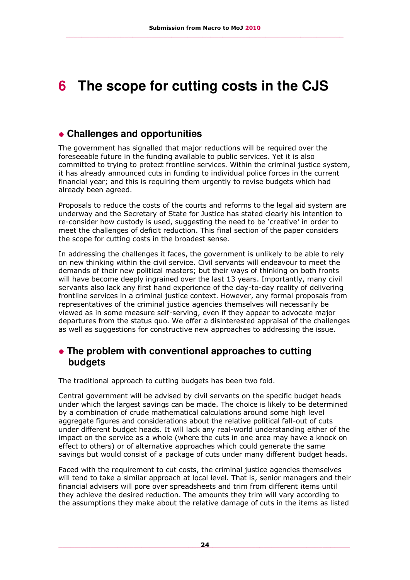## **6 The scope for cutting costs in the CJS**

### **Challenges and opportunities**

The government has signalled that major reductions will be required over the foreseeable future in the funding available to public services. Yet it is also committed to trying to protect frontline services. Within the criminal justice system, it has already announced cuts in funding to individual police forces in the current financial year; and this is requiring them urgently to revise budgets which had already been agreed.

Proposals to reduce the costs of the courts and reforms to the legal aid system are underway and the Secretary of State for Justice has stated clearly his intention to re-consider how custody is used, suggesting the need to be 'creative' in order to meet the challenges of deficit reduction. This final section of the paper considers the scope for cutting costs in the broadest sense.

In addressing the challenges it faces, the government is unlikely to be able to rely on new thinking within the civil service. Civil servants will endeavour to meet the demands of their new political masters; but their ways of thinking on both fronts will have become deeply ingrained over the last 13 years. Importantly, many civil servants also lack any first hand experience of the day-to-day reality of delivering frontline services in a criminal justice context. However, any formal proposals from representatives of the criminal justice agencies themselves will necessarily be viewed as in some measure self-serving, even if they appear to advocate major departures from the status quo. We offer a disinterested appraisal of the challenges as well as suggestions for constructive new approaches to addressing the issue.

## **The problem with conventional approaches to cutting budgets**

The traditional approach to cutting budgets has been two fold.

Central government will be advised by civil servants on the specific budget heads under which the largest savings can be made. The choice is likely to be determined by a combination of crude mathematical calculations around some high level aggregate figures and considerations about the relative political fall-out of cuts under different budget heads. It will lack any real-world understanding either of the impact on the service as a whole (where the cuts in one area may have a knock on effect to others) or of alternative approaches which could generate the same savings but would consist of a package of cuts under many different budget heads.

Faced with the requirement to cut costs, the criminal justice agencies themselves will tend to take a similar approach at local level. That is, senior managers and their financial advisers will pore over spreadsheets and trim from different items until they achieve the desired reduction. The amounts they trim will vary according to the assumptions they make about the relative damage of cuts in the items as listed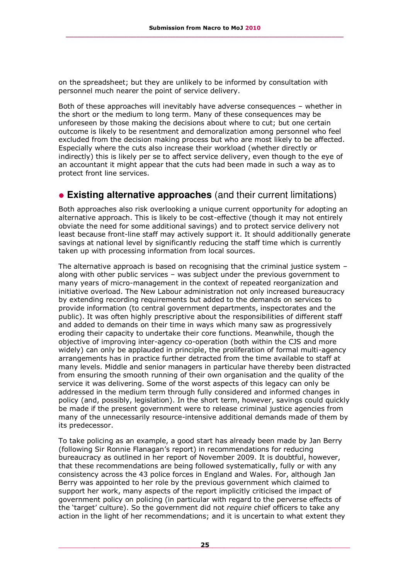on the spreadsheet; but they are unlikely to be informed by consultation with personnel much nearer the point of service delivery.

Both of these approaches will inevitably have adverse consequences – whether in the short or the medium to long term. Many of these consequences may be unforeseen by those making the decisions about where to cut; but one certain outcome is likely to be resentment and demoralization among personnel who feel excluded from the decision making process but who are most likely to be affected. Especially where the cuts also increase their workload (whether directly or indirectly) this is likely per se to affect service delivery, even though to the eye of an accountant it might appear that the cuts had been made in such a way as to protect front line services.

#### **Existing alternative approaches** (and their current limitations)

Both approaches also risk overlooking a unique current opportunity for adopting an alternative approach. This is likely to be cost-effective (though it may not entirely obviate the need for some additional savings) and to protect service delivery not least because front-line staff may actively support it. It should additionally generate savings at national level by significantly reducing the staff time which is currently taken up with processing information from local sources.

The alternative approach is based on recognising that the criminal justice system – along with other public services – was subject under the previous government to many years of micro-management in the context of repeated reorganization and initiative overload. The New Labour administration not only increased bureaucracy by extending recording requirements but added to the demands on services to provide information (to central government departments, inspectorates and the public). It was often highly prescriptive about the responsibilities of different staff and added to demands on their time in ways which many saw as progressively eroding their capacity to undertake their core functions. Meanwhile, though the objective of improving inter-agency co-operation (both within the CJS and more widely) can only be applauded in principle, the proliferation of formal multi-agency arrangements has in practice further detracted from the time available to staff at many levels. Middle and senior managers in particular have thereby been distracted from ensuring the smooth running of their own organisation and the quality of the service it was delivering. Some of the worst aspects of this legacy can only be addressed in the medium term through fully considered and informed changes in policy (and, possibly, legislation). In the short term, however, savings could quickly be made if the present government were to release criminal justice agencies from many of the unnecessarily resource-intensive additional demands made of them by its predecessor.

To take policing as an example, a good start has already been made by Jan Berry (following Sir Ronnie Flanagan's report) in recommendations for reducing bureaucracy as outlined in her report of November 2009. It is doubtful, however, that these recommendations are being followed systematically, fully or with any consistency across the 43 police forces in England and Wales. For, although Jan Berry was appointed to her role by the previous government which claimed to support her work, many aspects of the report implicitly criticised the impact of government policy on policing (in particular with regard to the perverse effects of the 'target' culture). So the government did not *require* chief officers to take any action in the light of her recommendations; and it is uncertain to what extent they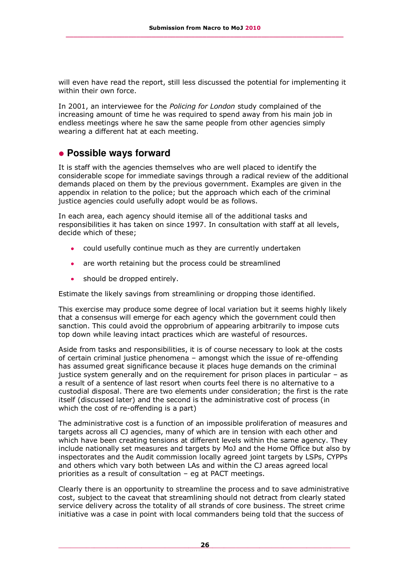will even have read the report, still less discussed the potential for implementing it within their own force.

In 2001, an interviewee for the *Policing for London* study complained of the increasing amount of time he was required to spend away from his main job in endless meetings where he saw the same people from other agencies simply wearing a different hat at each meeting.

#### **Possible ways forward**

It is staff with the agencies themselves who are well placed to identify the considerable scope for immediate savings through a radical review of the additional demands placed on them by the previous government. Examples are given in the appendix in relation to the police; but the approach which each of the criminal justice agencies could usefully adopt would be as follows.

In each area, each agency should itemise all of the additional tasks and responsibilities it has taken on since 1997. In consultation with staff at all levels, decide which of these;

- could usefully continue much as they are currently undertaken
- are worth retaining but the process could be streamlined
- should be dropped entirely.

Estimate the likely savings from streamlining or dropping those identified.

This exercise may produce some degree of local variation but it seems highly likely that a consensus will emerge for each agency which the government could then sanction. This could avoid the opprobrium of appearing arbitrarily to impose cuts top down while leaving intact practices which are wasteful of resources.

Aside from tasks and responsibilities, it is of course necessary to look at the costs of certain criminal justice phenomena – amongst which the issue of re-offending has assumed great significance because it places huge demands on the criminal justice system generally and on the requirement for prison places in particular – as a result of a sentence of last resort when courts feel there is no alternative to a custodial disposal. There are two elements under consideration; the first is the rate itself (discussed later) and the second is the administrative cost of process (in which the cost of re-offending is a part)

The administrative cost is a function of an impossible proliferation of measures and targets across all CJ agencies, many of which are in tension with each other and which have been creating tensions at different levels within the same agency. They include nationally set measures and targets by MoJ and the Home Office but also by inspectorates and the Audit commission locally agreed joint targets by LSPs, CYPPs and others which vary both between LAs and within the CJ areas agreed local priorities as a result of consultation – eg at PACT meetings.

Clearly there is an opportunity to streamline the process and to save administrative cost, subject to the caveat that streamlining should not detract from clearly stated service delivery across the totality of all strands of core business. The street crime initiative was a case in point with local commanders being told that the success of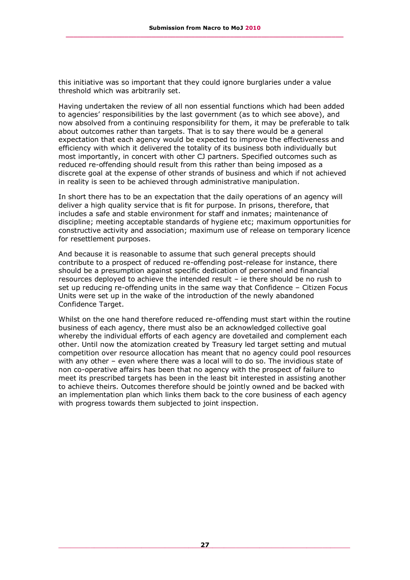this initiative was so important that they could ignore burglaries under a value threshold which was arbitrarily set.

Having undertaken the review of all non essential functions which had been added to agencies' responsibilities by the last government (as to which see above), and now absolved from a continuing responsibility for them, it may be preferable to talk about outcomes rather than targets. That is to say there would be a general expectation that each agency would be expected to improve the effectiveness and efficiency with which it delivered the totality of its business both individually but most importantly, in concert with other CJ partners. Specified outcomes such as reduced re-offending should result from this rather than being imposed as a discrete goal at the expense of other strands of business and which if not achieved in reality is seen to be achieved through administrative manipulation.

In short there has to be an expectation that the daily operations of an agency will deliver a high quality service that is fit for purpose. In prisons, therefore, that includes a safe and stable environment for staff and inmates; maintenance of discipline; meeting acceptable standards of hygiene etc; maximum opportunities for constructive activity and association; maximum use of release on temporary licence for resettlement purposes.

And because it is reasonable to assume that such general precepts should contribute to a prospect of reduced re-offending post-release for instance, there should be a presumption against specific dedication of personnel and financial resources deployed to achieve the intended result – ie there should be no rush to set up reducing re-offending units in the same way that Confidence – Citizen Focus Units were set up in the wake of the introduction of the newly abandoned Confidence Target.

Whilst on the one hand therefore reduced re-offending must start within the routine business of each agency, there must also be an acknowledged collective goal whereby the individual efforts of each agency are dovetailed and complement each other. Until now the atomization created by Treasury led target setting and mutual competition over resource allocation has meant that no agency could pool resources with any other – even where there was a local will to do so. The invidious state of non co-operative affairs has been that no agency with the prospect of failure to meet its prescribed targets has been in the least bit interested in assisting another to achieve theirs. Outcomes therefore should be jointly owned and be backed with an implementation plan which links them back to the core business of each agency with progress towards them subjected to joint inspection.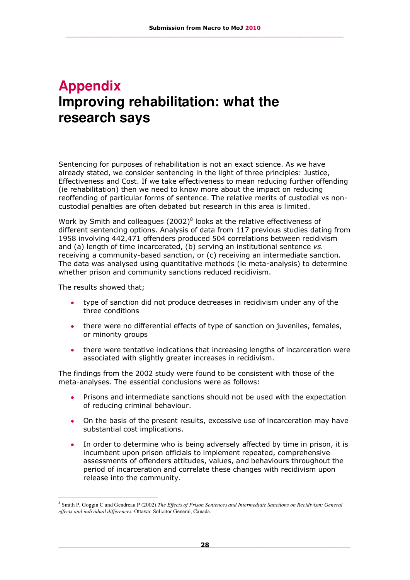## **Appendix Improving rehabilitation: what the research says**

Sentencing for purposes of rehabilitation is not an exact science. As we have already stated, we consider sentencing in the light of three principles: Justice, Effectiveness and Cost. If we take effectiveness to mean reducing further offending (ie rehabilitation) then we need to know more about the impact on reducing reoffending of particular forms of sentence. The relative merits of custodial vs noncustodial penalties are often debated but research in this area is limited.

Work by Smith and colleagues  $(2002)^8$  looks at the relative effectiveness of different sentencing options. Analysis of data from 117 previous studies dating from 1958 involving 442,471 offenders produced 504 correlations between recidivism and (a) length of time incarcerated, (b) serving an institutional sentence *vs.*  receiving a community-based sanction, or (c) receiving an intermediate sanction. The data was analysed using quantitative methods (ie meta-analysis) to determine whether prison and community sanctions reduced recidivism.

The results showed that;

i,

- type of sanction did not produce decreases in recidivism under any of the three conditions
- there were no differential effects of type of sanction on juveniles, females, or minority groups
- there were tentative indications that increasing lengths of incarceration were associated with slightly greater increases in recidivism.

The findings from the 2002 study were found to be consistent with those of the meta-analyses. The essential conclusions were as follows:

- Prisons and intermediate sanctions should not be used with the expectation of reducing criminal behaviour.
- On the basis of the present results, excessive use of incarceration may have substantial cost implications.
- In order to determine who is being adversely affected by time in prison, it is incumbent upon prison officials to implement repeated, comprehensive assessments of offenders attitudes, values, and behaviours throughout the period of incarceration and correlate these changes with recidivism upon release into the community.

<sup>&</sup>lt;sup>8</sup> Smith P, Goggin C and Gendreau P (2002) *The Effects of Prison Sentences and Intermediate Sanctions on Recidivism; General effects and individual differences.* Ottawa: Solicitor General, Canada.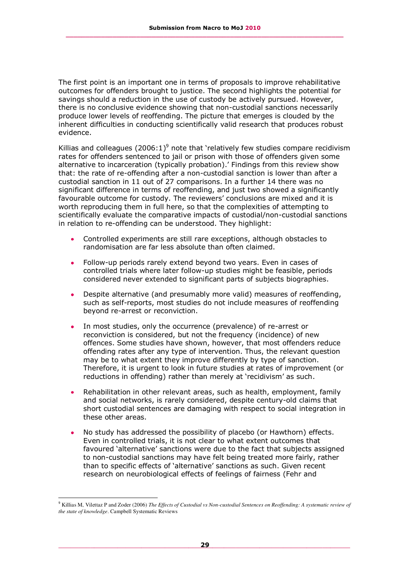The first point is an important one in terms of proposals to improve rehabilitative outcomes for offenders brought to justice. The second highlights the potential for savings should a reduction in the use of custody be actively pursued. However, there is no conclusive evidence showing that non-custodial sanctions necessarily produce lower levels of reoffending. The picture that emerges is clouded by the inherent difficulties in conducting scientifically valid research that produces robust evidence.

Killias and colleagues  $(2006:1)^9$  note that 'relatively few studies compare recidivism rates for offenders sentenced to jail or prison with those of offenders given some alternative to incarceration (typically probation).' Findings from this review show that: the rate of re-offending after a non-custodial sanction is lower than after a custodial sanction in 11 out of 27 comparisons. In a further 14 there was no significant difference in terms of reoffending, and just two showed a significantly favourable outcome for custody. The reviewers' conclusions are mixed and it is worth reproducing them in full here, so that the complexities of attempting to scientifically evaluate the comparative impacts of custodial/non-custodial sanctions in relation to re-offending can be understood. They highlight:

- Controlled experiments are still rare exceptions, although obstacles to randomisation are far less absolute than often claimed.
- Follow-up periods rarely extend beyond two years. Even in cases of controlled trials where later follow-up studies might be feasible, periods considered never extended to significant parts of subjects biographies.
- Despite alternative (and presumably more valid) measures of reoffending, such as self-reports, most studies do not include measures of reoffending beyond re-arrest or reconviction.
- In most studies, only the occurrence (prevalence) of re-arrest or reconviction is considered, but not the frequency (incidence) of new offences. Some studies have shown, however, that most offenders reduce offending rates after any type of intervention. Thus, the relevant question may be to what extent they improve differently by type of sanction. Therefore, it is urgent to look in future studies at rates of improvement (or reductions in offending) rather than merely at 'recidivism' as such.
- Rehabilitation in other relevant areas, such as health, employment, family and social networks, is rarely considered, despite century-old claims that short custodial sentences are damaging with respect to social integration in these other areas.
- No study has addressed the possibility of placebo (or Hawthorn) effects. Even in controlled trials, it is not clear to what extent outcomes that favoured 'alternative' sanctions were due to the fact that subjects assigned to non-custodial sanctions may have felt being treated more fairly, rather than to specific effects of 'alternative' sanctions as such. Given recent research on neurobiological effects of feelings of fairness (Fehr and

i,

<sup>&</sup>lt;sup>9</sup> Killias M, Vilettaz P and Zoder (2006) *The Effects of Custodial vs Non-custodial Sentences on Reoffending: A systematic review of the state of knowledge*. Campbell Systematic Reviews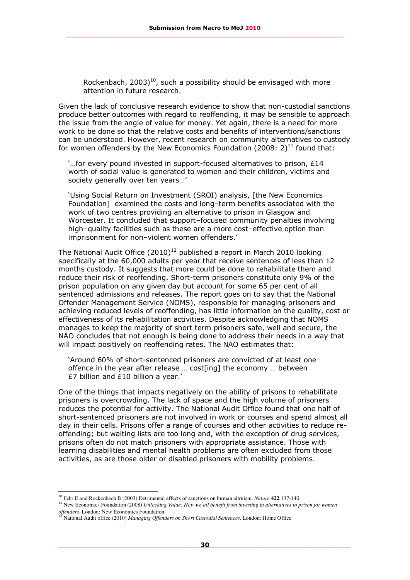Rockenbach,  $2003)$ <sup>10</sup>, such a possibility should be envisaged with more attention in future research.

Given the lack of conclusive research evidence to show that non-custodial sanctions produce better outcomes with regard to reoffending, it may be sensible to approach the issue from the angle of value for money. Yet again, there is a need for more work to be done so that the relative costs and benefits of interventions/sanctions can be understood. However, recent research on community alternatives to custody for women offenders by the New Economics Foundation (2008: 2)<sup>11</sup> found that:

'…for every pound invested in support-focused alternatives to prison, £14 worth of social value is generated to women and their children, victims and society generally over ten years…'

'Using Social Return on Investment (SROI) analysis, [the New Economics Foundation] examined the costs and long–term benefits associated with the work of two centres providing an alternative to prison in Glasgow and Worcester. It concluded that support–focused community penalties involving high–quality facilities such as these are a more cost–effective option than imprisonment for non–violent women offenders.'

The National Audit Office  $(2010)^{12}$  published a report in March 2010 looking specifically at the 60,000 adults per year that receive sentences of less than 12 months custody. It suggests that more could be done to rehabilitate them and reduce their risk of reoffending. Short-term prisoners constitute only 9% of the prison population on any given day but account for some 65 per cent of all sentenced admissions and releases. The report goes on to say that the National Offender Management Service (NOMS), responsible for managing prisoners and achieving reduced levels of reoffending, has little information on the quality, cost or effectiveness of its rehabilitation activities. Despite acknowledging that NOMS manages to keep the majority of short term prisoners safe, well and secure, the NAO concludes that not enough is being done to address their needs in a way that will impact positively on reoffending rates. The NAO estimates that:

'Around 60% of short-sentenced prisoners are convicted of at least one offence in the year after release … cost[ing] the economy … between £7 billion and £10 billion a year.'

One of the things that impacts negatively on the ability of prisons to rehabilitate prisoners is overcrowding. The lack of space and the high volume of prisoners reduces the potential for activity. The National Audit Office found that one half of short-sentenced prisoners are not involved in work or courses and spend almost all day in their cells. Prisons offer a range of courses and other activities to reduce reoffending; but waiting lists are too long and, with the exception of drug services, prisons often do not match prisoners with appropriate assistance. Those with learning disabilities and mental health problems are often excluded from those activities, as are those older or disabled prisoners with mobility problems.

i, <sup>10</sup> Fehr E and Rockenbach B (2003) Detrimental effects of sanctions on human altruism. *Nature* **422** 137-140.

<sup>11</sup> New Economics Foundation (2008) *Unlocking Value: How we all benefit from investing in alternatives to prison for women offenders*. London: New Economics Foundation

<sup>12</sup> National Audit office (2010) *Managing Offenders on Short Custodial Sentences*. London: Home Office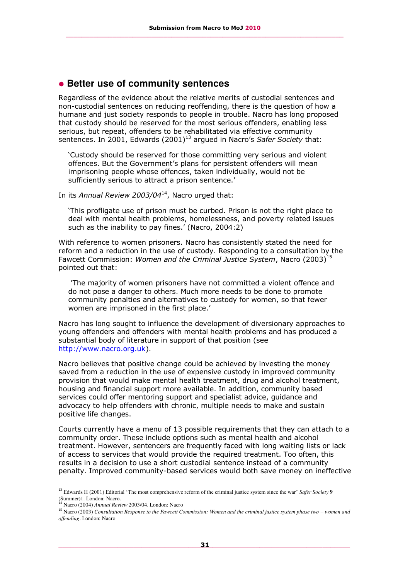### **Better use of community sentences**

Regardless of the evidence about the relative merits of custodial sentences and non-custodial sentences on reducing reoffending, there is the question of how a humane and just society responds to people in trouble. Nacro has long proposed that custody should be reserved for the most serious offenders, enabling less serious, but repeat, offenders to be rehabilitated via effective community sentences. In 2001, Edwards (2001)<sup>13</sup> argued in Nacro's Safer Society that:

'Custody should be reserved for those committing very serious and violent offences. But the Government's plans for persistent offenders will mean imprisoning people whose offences, taken individually, would not be sufficiently serious to attract a prison sentence.'

In its *Annual Review 2003/04*<sup>14</sup>, Nacro urged that:

'This profligate use of prison must be curbed. Prison is not the right place to deal with mental health problems, homelessness, and poverty related issues such as the inability to pay fines.' (Nacro, 2004:2)

With reference to women prisoners. Nacro has consistently stated the need for reform and a reduction in the use of custody. Responding to a consultation by the Fawcett Commission: *Women and the Criminal Justice System*, Nacro (2003)<sup>15</sup> pointed out that:

'The majority of women prisoners have not committed a violent offence and do not pose a danger to others. Much more needs to be done to promote community penalties and alternatives to custody for women, so that fewer women are imprisoned in the first place.'

Nacro has long sought to influence the development of diversionary approaches to young offenders and offenders with mental health problems and has produced a substantial body of literature in support of that position (see [http://www.nacro.org.uk\)](http://www.nacro.org.uk/).

Nacro believes that positive change could be achieved by investing the money saved from a reduction in the use of expensive custody in improved community provision that would make mental health treatment, drug and alcohol treatment, housing and financial support more available. In addition, community based services could offer mentoring support and specialist advice, guidance and advocacy to help offenders with chronic, multiple needs to make and sustain positive life changes.

Courts currently have a menu of 13 possible requirements that they can attach to a community order. These include options such as mental health and alcohol treatment. However, sentencers are frequently faced with long waiting lists or lack of access to services that would provide the required treatment. Too often, this results in a decision to use a short custodial sentence instead of a community penalty. Improved community-based services would both save money on ineffective

i, <sup>13</sup> Edwards H (2001) Editorial 'The most comprehensive reform of the criminal justice system since the war' *Safer Society* **9**

<sup>(</sup>Summer)1. London: Nacro. <sup>14</sup> Nacro (2004) *Annual Review* 2003/04. London: Nacro

<sup>&</sup>lt;sup>15</sup> Nacro (2003) *Consultation Response to the Fawcett Commission: Women and the criminal justice system phase two – women and offending*. London: Nacro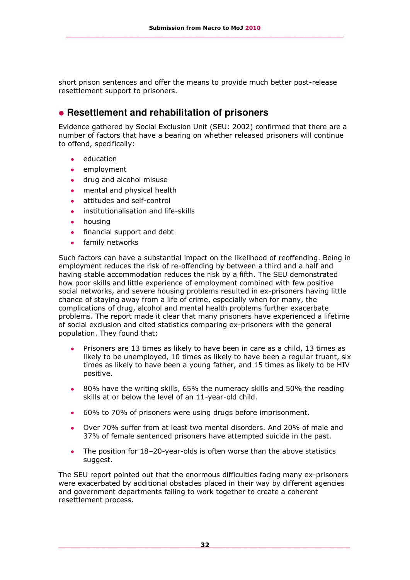short prison sentences and offer the means to provide much better post-release resettlement support to prisoners.

## **Resettlement and rehabilitation of prisoners**

Evidence gathered by Social Exclusion Unit (SEU: 2002) confirmed that there are a number of factors that have a bearing on whether released prisoners will continue to offend, specifically:

- education
- $\overline{\phantom{a}}$ employment
- drug and alcohol misuse  $\bullet$
- mental and physical health  $\bullet$
- attitudes and self-control
- institutionalisation and life-skills  $\bullet$
- housing  $\bullet$
- financial support and debt
- family networks  $\bullet$

Such factors can have a substantial impact on the likelihood of reoffending. Being in employment reduces the risk of re-offending by between a third and a half and having stable accommodation reduces the risk by a fifth. The SEU demonstrated how poor skills and little experience of employment combined with few positive social networks, and severe housing problems resulted in ex-prisoners having little chance of staying away from a life of crime, especially when for many, the complications of drug, alcohol and mental health problems further exacerbate problems. The report made it clear that many prisoners have experienced a lifetime of social exclusion and cited statistics comparing ex-prisoners with the general population. They found that:

- Prisoners are 13 times as likely to have been in care as a child, 13 times as likely to be unemployed, 10 times as likely to have been a regular truant, six times as likely to have been a young father, and 15 times as likely to be HIV positive.
- 80% have the writing skills, 65% the numeracy skills and 50% the reading skills at or below the level of an 11-year-old child.
- 60% to 70% of prisoners were using drugs before imprisonment.
- Over 70% suffer from at least two mental disorders. And 20% of male and 37% of female sentenced prisoners have attempted suicide in the past.
- The position for 18–20-year-olds is often worse than the above statistics suggest.

The SEU report pointed out that the enormous difficulties facing many ex-prisoners were exacerbated by additional obstacles placed in their way by different agencies and government departments failing to work together to create a coherent resettlement process.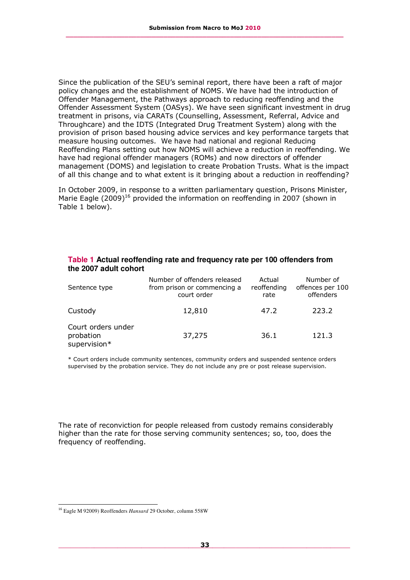Since the publication of the SEU's seminal report, there have been a raft of major policy changes and the establishment of NOMS. We have had the introduction of Offender Management, the Pathways approach to reducing reoffending and the Offender Assessment System (OASys). We have seen significant investment in drug treatment in prisons, via CARATs (Counselling, Assessment, Referral, Advice and Throughcare) and the IDTS (Integrated Drug Treatment System) along with the provision of prison based housing advice services and key performance targets that measure housing outcomes. We have had national and regional Reducing Reoffending Plans setting out how NOMS will achieve a reduction in reoffending. We have had regional offender managers (ROMs) and now directors of offender management (DOMS) and legislation to create Probation Trusts. What is the impact of all this change and to what extent is it bringing about a reduction in reoffending?

In October 2009, in response to a written parliamentary question, Prisons Minister, Marie Eagle  $(2009)^{16}$  provided the information on reoffending in 2007 (shown in Table 1 below).

| Sentence type                                   | Number of offenders released<br>from prison or commencing a<br>court order | Actual<br>reoffending<br>rate | Number of<br>offences per 100<br>offenders |
|-------------------------------------------------|----------------------------------------------------------------------------|-------------------------------|--------------------------------------------|
| Custody                                         | 12,810                                                                     | 47.2                          | 223.2                                      |
| Court orders under<br>probation<br>supervision* | 37,275                                                                     | 36.1                          | 121.3                                      |

#### **Table 1 Actual reoffending rate and frequency rate per 100 offenders from the 2007 adult cohort**

\* Court orders include community sentences, community orders and suspended sentence orders supervised by the probation service. They do not include any pre or post release supervision.

The rate of reconviction for people released from custody remains considerably higher than the rate for those serving community sentences; so, too, does the frequency of reoffending.

i, <sup>16</sup> Eagle M 92009) Reoffenders *Hansard* 29 October, column 558W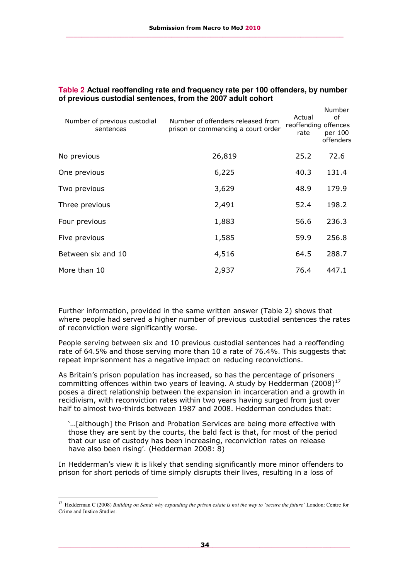| Number of previous custodial<br>sentences | Number of offenders released from<br>prison or commencing a court order | Actual<br>reoffending offences<br>rate | Number<br>of<br>per 100<br>offenders |
|-------------------------------------------|-------------------------------------------------------------------------|----------------------------------------|--------------------------------------|
| No previous                               | 26,819                                                                  | 25.2                                   | 72.6                                 |
| One previous                              | 6,225                                                                   | 40.3                                   | 131.4                                |
| Two previous                              | 3,629                                                                   | 48.9                                   | 179.9                                |
| Three previous                            | 2,491                                                                   | 52.4                                   | 198.2                                |
| Four previous                             | 1,883                                                                   | 56.6                                   | 236.3                                |
| Five previous                             | 1,585                                                                   | 59.9                                   | 256.8                                |
| Between six and 10                        | 4,516                                                                   | 64.5                                   | 288.7                                |
| More than 10                              | 2,937                                                                   | 76.4                                   | 447.1                                |

#### **Table 2 Actual reoffending rate and frequency rate per 100 offenders, by number of previous custodial sentences, from the 2007 adult cohort**

Further information, provided in the same written answer (Table 2) shows that where people had served a higher number of previous custodial sentences the rates of reconviction were significantly worse.

People serving between six and 10 previous custodial sentences had a reoffending rate of 64.5% and those serving more than 10 a rate of 76.4%. This suggests that repeat imprisonment has a negative impact on reducing reconvictions.

As Britain's prison population has increased, so has the percentage of prisoners committing offences within two years of leaving. A study by Hedderman (2008)<sup>17</sup> poses a direct relationship between the expansion in incarceration and a growth in recidivism, with reconviction rates within two years having surged from just over half to almost two-thirds between 1987 and 2008. Hedderman concludes that:

'…[although] the Prison and Probation Services are being more effective with those they are sent by the courts, the bald fact is that, for most of the period that our use of custody has been increasing, reconviction rates on release have also been rising'. (Hedderman 2008: 8)

In Hedderman's view it is likely that sending significantly more minor offenders to prison for short periods of time simply disrupts their lives, resulting in a loss of

i,

<sup>17</sup> Hedderman C (2008) *Building on Sand; why expanding the prison estate is not the way to 'secure the future'* London: Centre for Crime and Justice Studies.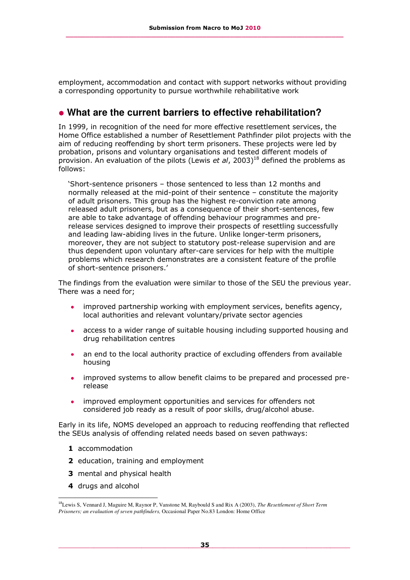employment, accommodation and contact with support networks without providing a corresponding opportunity to pursue worthwhile rehabilitative work

## **What are the current barriers to effective rehabilitation?**

In 1999, in recognition of the need for more effective resettlement services, the Home Office established a number of Resettlement Pathfinder pilot projects with the aim of reducing reoffending by short term prisoners. These projects were led by probation, prisons and voluntary organisations and tested different models of provision. An evaluation of the pilots (Lewis *et al*, 2003)<sup>18</sup> defined the problems as follows:

'Short-sentence prisoners – those sentenced to less than 12 months and normally released at the mid-point of their sentence – constitute the majority of adult prisoners. This group has the highest re-conviction rate among released adult prisoners, but as a consequence of their short-sentences, few are able to take advantage of offending behaviour programmes and prerelease services designed to improve their prospects of resettling successfully and leading law-abiding lives in the future. Unlike longer-term prisoners, moreover, they are not subject to statutory post-release supervision and are thus dependent upon voluntary after-care services for help with the multiple problems which research demonstrates are a consistent feature of the profile of short-sentence prisoners.'

The findings from the evaluation were similar to those of the SEU the previous year. There was a need for;

- improved partnership working with employment services, benefits agency, local authorities and relevant voluntary/private sector agencies
- access to a wider range of suitable housing including supported housing and drug rehabilitation centres
- an end to the local authority practice of excluding offenders from available housing
- improved systems to allow benefit claims to be prepared and processed prerelease
- $\bullet$ improved employment opportunities and services for offenders not considered job ready as a result of poor skills, drug/alcohol abuse.

Early in its life, NOMS developed an approach to reducing reoffending that reflected the SEUs analysis of offending related needs based on seven pathways:

- **1** accommodation
- **2** education, training and employment
- **3** mental and physical health
- **4** drugs and alcohol

i,

<sup>18</sup>Lewis S, Vennard J, Maguire M, Raynor P, Vanstone M, Raybould S and Rix A (2003), *The Resettlement of Short Term Prisoners; an evaluation of seven pathfinders,* Occasional Paper No.83 London: Home Office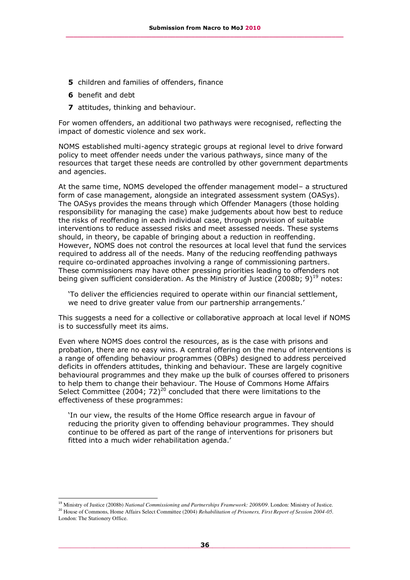- **5** children and families of offenders, finance
- **6** benefit and debt

-

**7** attitudes, thinking and behaviour.

For women offenders, an additional two pathways were recognised, reflecting the impact of domestic violence and sex work.

NOMS established multi-agency strategic groups at regional level to drive forward policy to meet offender needs under the various pathways, since many of the resources that target these needs are controlled by other government departments and agencies.

At the same time, NOMS developed the offender management model– a structured form of case management, alongside an integrated assessment system (OASys). The OASys provides the means through which Offender Managers (those holding responsibility for managing the case) make judgements about how best to reduce the risks of reoffending in each individual case, through provision of suitable interventions to reduce assessed risks and meet assessed needs. These systems should, in theory, be capable of bringing about a reduction in reoffending. However, NOMS does not control the resources at local level that fund the services required to address all of the needs. Many of the reducing reoffending pathways require co-ordinated approaches involving a range of commissioning partners. These commissioners may have other pressing priorities leading to offenders not being given sufficient consideration. As the Ministry of Justice (2008b; 9)<sup>19</sup> notes:

'To deliver the efficiencies required to operate within our financial settlement, we need to drive greater value from our partnership arrangements.'

This suggests a need for a collective or collaborative approach at local level if NOMS is to successfully meet its aims.

Even where NOMS does control the resources, as is the case with prisons and probation, there are no easy wins. A central offering on the menu of interventions is a range of offending behaviour programmes (OBPs) designed to address perceived deficits in offenders attitudes, thinking and behaviour. These are largely cognitive behavioural programmes and they make up the bulk of courses offered to prisoners to help them to change their behaviour. The House of Commons Home Affairs Select Committee (2004;  $72)^{20}$  concluded that there were limitations to the effectiveness of these programmes:

'In our view, the results of the Home Office research argue in favour of reducing the priority given to offending behaviour programmes. They should continue to be offered as part of the range of interventions for prisoners but fitted into a much wider rehabilitation agenda.'

<sup>19</sup> Ministry of Justice (2008b) *National Commissioning and Partnerships Framework: 2008/09*. London: Ministry of Justice. <sup>20</sup> House of Commons, Home Affairs Select Committee (2004) *Rehabilitation of Prisoners, First Report of Session 2004-05.* London: The Stationery Office.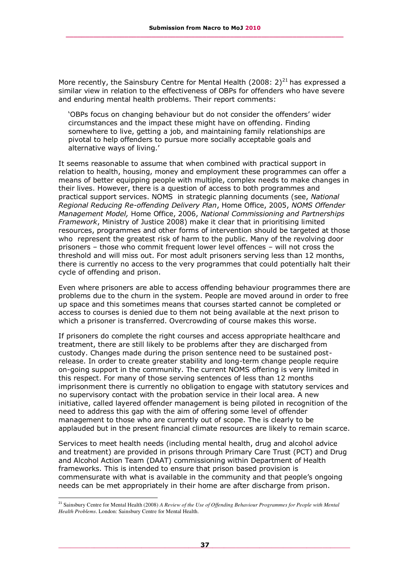More recently, the Sainsbury Centre for Mental Health (2008: 2)<sup>21</sup> has expressed a similar view in relation to the effectiveness of OBPs for offenders who have severe and enduring mental health problems. Their report comments:

'OBPs focus on changing behaviour but do not consider the offenders' wider circumstances and the impact these might have on offending. Finding somewhere to live, getting a job, and maintaining family relationships are pivotal to help offenders to pursue more socially acceptable goals and alternative ways of living.'

It seems reasonable to assume that when combined with practical support in relation to health, housing, money and employment these programmes can offer a means of better equipping people with multiple, complex needs to make changes in their lives. However, there is a question of access to both programmes and practical support services. NOMS in strategic planning documents (see, *National Regional Reducing Re-offending Delivery Plan*, Home Office, 2005, *NOMS Offender Management Model,* Home Office, 2006, *National Commissioning and Partnerships Framework*, Ministry of Justice 2008) make it clear that in prioritising limited resources, programmes and other forms of intervention should be targeted at those who represent the greatest risk of harm to the public. Many of the revolving door prisoners – those who commit frequent lower level offences – will not cross the threshold and will miss out. For most adult prisoners serving less than 12 months, there is currently no access to the very programmes that could potentially halt their cycle of offending and prison.

Even where prisoners are able to access offending behaviour programmes there are problems due to the churn in the system. People are moved around in order to free up space and this sometimes means that courses started cannot be completed or access to courses is denied due to them not being available at the next prison to which a prisoner is transferred. Overcrowding of course makes this worse.

If prisoners do complete the right courses and access appropriate healthcare and treatment, there are still likely to be problems after they are discharged from custody. Changes made during the prison sentence need to be sustained postrelease. In order to create greater stability and long-term change people require on-going support in the community. The current NOMS offering is very limited in this respect. For many of those serving sentences of less than 12 months imprisonment there is currently no obligation to engage with statutory services and no supervisory contact with the probation service in their local area. A new initiative, called layered offender management is being piloted in recognition of the need to address this gap with the aim of offering some level of offender management to those who are currently out of scope. The is clearly to be applauded but in the present financial climate resources are likely to remain scarce.

Services to meet health needs (including mental health, drug and alcohol advice and treatment) are provided in prisons through Primary Care Trust (PCT) and Drug and Alcohol Action Team (DAAT) commissioning within Department of Health frameworks. This is intended to ensure that prison based provision is commensurate with what is available in the community and that people's ongoing needs can be met appropriately in their home are after discharge from prison.

i,

<sup>&</sup>lt;sup>21</sup> Sainsbury Centre for Mental Health (2008) *A Review of the Use of Offending Behaviour Programmes for People with Mental Health Problems*. London: Sainsbury Centre for Mental Health.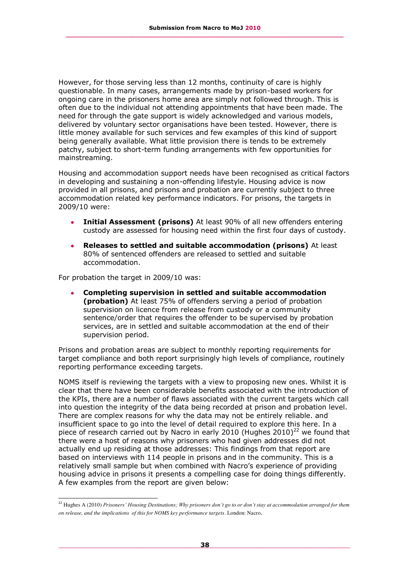However, for those serving less than 12 months, continuity of care is highly questionable. In many cases, arrangements made by prison-based workers for ongoing care in the prisoners home area are simply not followed through. This is often due to the individual not attending appointments that have been made. The need for through the gate support is widely acknowledged and various models, delivered by voluntary sector organisations have been tested. However, there is little money available for such services and few examples of this kind of support being generally available. What little provision there is tends to be extremely patchy, subject to short-term funding arrangements with few opportunities for mainstreaming.

Housing and accommodation support needs have been recognised as critical factors in developing and sustaining a non-offending lifestyle. Housing advice is now provided in all prisons, and prisons and probation are currently subject to three accommodation related key performance indicators. For prisons, the targets in 2009/10 were:

- **Initial Assessment (prisons)** At least 90% of all new offenders entering custody are assessed for housing need within the first four days of custody.
- **Releases to settled and suitable accommodation (prisons)** At least 80% of sentenced offenders are released to settled and suitable accommodation.

For probation the target in 2009/10 was:

-

**Completing supervision in settled and suitable accommodation (probation)** At least 75% of offenders serving a period of probation supervision on licence from release from custody or a community sentence/order that requires the offender to be supervised by probation services, are in settled and suitable accommodation at the end of their supervision period.

Prisons and probation areas are subject to monthly reporting requirements for target compliance and both report surprisingly high levels of compliance, routinely reporting performance exceeding targets.

NOMS itself is reviewing the targets with a view to proposing new ones. Whilst it is clear that there have been considerable benefits associated with the introduction of the KPIs, there are a number of flaws associated with the current targets which call into question the integrity of the data being recorded at prison and probation level. There are complex reasons for why the data may not be entirely reliable. and insufficient space to go into the level of detail required to explore this here. In a piece of research carried out by Nacro in early 2010 (Hughes 2010)<sup>22</sup> we found that there were a host of reasons why prisoners who had given addresses did not actually end up residing at those addresses: This findings from that report are based on interviews with 114 people in prisons and in the community. This is a relatively small sample but when combined with Nacro's experience of providing housing advice in prisons it presents a compelling case for doing things differently. A few examples from the report are given below:

<sup>22</sup> Hughes A (2010) *Prisoners' Housing Destinations; Why prisoners don't go to or don't stay at accommodation arranged for them on release, and the implications of this for NOMS key performance targets*. London: Nacro.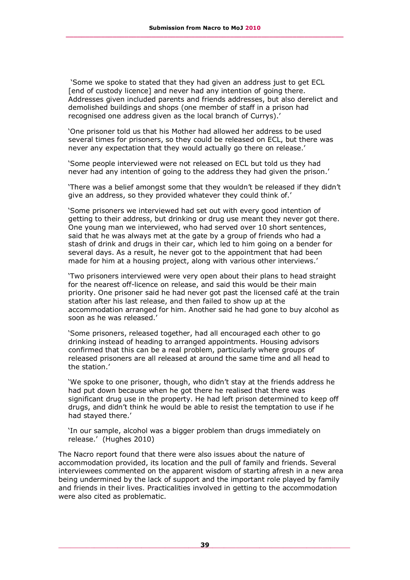'Some we spoke to stated that they had given an address just to get ECL [end of custody licence] and never had any intention of going there. Addresses given included parents and friends addresses, but also derelict and demolished buildings and shops (one member of staff in a prison had recognised one address given as the local branch of Currys).'

'One prisoner told us that his Mother had allowed her address to be used several times for prisoners, so they could be released on ECL, but there was never any expectation that they would actually go there on release.'

'Some people interviewed were not released on ECL but told us they had never had any intention of going to the address they had given the prison.'

'There was a belief amongst some that they wouldn't be released if they didn't give an address, so they provided whatever they could think of.'

'Some prisoners we interviewed had set out with every good intention of getting to their address, but drinking or drug use meant they never got there. One young man we interviewed, who had served over 10 short sentences, said that he was always met at the gate by a group of friends who had a stash of drink and drugs in their car, which led to him going on a bender for several days. As a result, he never got to the appointment that had been made for him at a housing project, along with various other interviews.'

'Two prisoners interviewed were very open about their plans to head straight for the nearest off-licence on release, and said this would be their main priority. One prisoner said he had never got past the licensed café at the train station after his last release, and then failed to show up at the accommodation arranged for him. Another said he had gone to buy alcohol as soon as he was released.'

'Some prisoners, released together, had all encouraged each other to go drinking instead of heading to arranged appointments. Housing advisors confirmed that this can be a real problem, particularly where groups of released prisoners are all released at around the same time and all head to the station.'

'We spoke to one prisoner, though, who didn't stay at the friends address he had put down because when he got there he realised that there was significant drug use in the property. He had left prison determined to keep off drugs, and didn't think he would be able to resist the temptation to use if he had stayed there.'

'In our sample, alcohol was a bigger problem than drugs immediately on release.' (Hughes 2010)

The Nacro report found that there were also issues about the nature of accommodation provided, its location and the pull of family and friends. Several interviewees commented on the apparent wisdom of starting afresh in a new area being undermined by the lack of support and the important role played by family and friends in their lives. Practicalities involved in getting to the accommodation were also cited as problematic.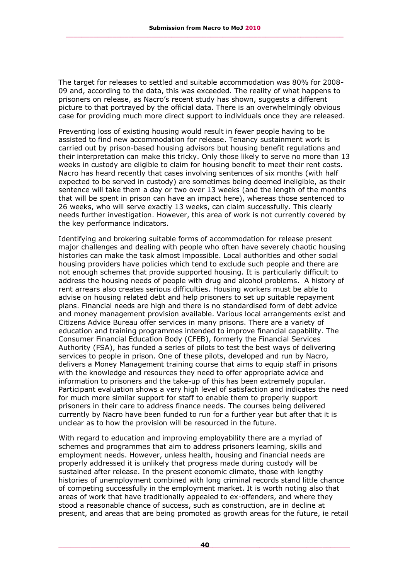The target for releases to settled and suitable accommodation was 80% for 2008- 09 and, according to the data, this was exceeded. The reality of what happens to prisoners on release, as Nacro's recent study has shown, suggests a different picture to that portrayed by the official data. There is an overwhelmingly obvious case for providing much more direct support to individuals once they are released.

Preventing loss of existing housing would result in fewer people having to be assisted to find new accommodation for release. Tenancy sustainment work is carried out by prison-based housing advisors but housing benefit regulations and their interpretation can make this tricky. Only those likely to serve no more than 13 weeks in custody are eligible to claim for housing benefit to meet their rent costs. Nacro has heard recently that cases involving sentences of six months (with half expected to be served in custody) are sometimes being deemed ineligible, as their sentence will take them a day or two over 13 weeks (and the length of the months that will be spent in prison can have an impact here), whereas those sentenced to 26 weeks, who will serve exactly 13 weeks, can claim successfully. This clearly needs further investigation. However, this area of work is not currently covered by the key performance indicators.

Identifying and brokering suitable forms of accommodation for release present major challenges and dealing with people who often have severely chaotic housing histories can make the task almost impossible. Local authorities and other social housing providers have policies which tend to exclude such people and there are not enough schemes that provide supported housing. It is particularly difficult to address the housing needs of people with drug and alcohol problems. A history of rent arrears also creates serious difficulties. Housing workers must be able to advise on housing related debt and help prisoners to set up suitable repayment plans. Financial needs are high and there is no standardised form of debt advice and money management provision available. Various local arrangements exist and Citizens Advice Bureau offer services in many prisons. There are a variety of education and training programmes intended to improve financial capability. The Consumer Financial Education Body (CFEB), formerly the Financial Services Authority (FSA), has funded a series of pilots to test the best ways of delivering services to people in prison. One of these pilots, developed and run by Nacro, delivers a Money Management training course that aims to equip staff in prisons with the knowledge and resources they need to offer appropriate advice and information to prisoners and the take-up of this has been extremely popular. Participant evaluation shows a very high level of satisfaction and indicates the need for much more similar support for staff to enable them to properly support prisoners in their care to address finance needs. The courses being delivered currently by Nacro have been funded to run for a further year but after that it is unclear as to how the provision will be resourced in the future.

With regard to education and improving employability there are a myriad of schemes and programmes that aim to address prisoners learning, skills and employment needs. However, unless health, housing and financial needs are properly addressed it is unlikely that progress made during custody will be sustained after release. In the present economic climate, those with lengthy histories of unemployment combined with long criminal records stand little chance of competing successfully in the employment market. It is worth noting also that areas of work that have traditionally appealed to ex-offenders, and where they stood a reasonable chance of success, such as construction, are in decline at present, and areas that are being promoted as growth areas for the future, ie retail